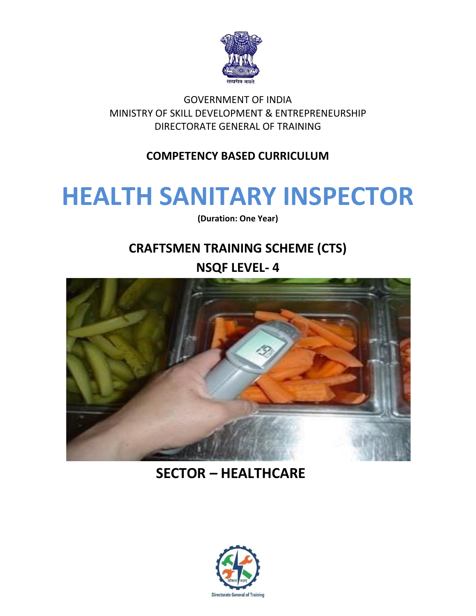

# GOVERNMENT OF INDIA MINISTRY OF SKILL DEVELOPMENT & ENTREPRENEURSHIP DIRECTORATE GENERAL OF TRAINING

# **COMPETENCY BASED CURRICULUM**

# **HEALTH SANITARY INSPECTOR**

**(Duration: One Year)**

# **CRAFTSMEN TRAINING SCHEME (CTS)**

**NSQF LEVEL- 4**



# **SECTOR – HEALTHCARE**

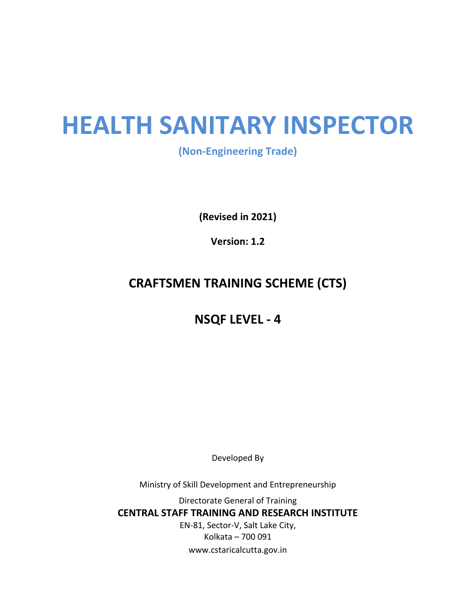# **HEALTH SANITARY INSPECTOR**

**(Non-Engineering Trade)**

**(Revised in 2021)**

**Version: 1.2**

# **CRAFTSMEN TRAINING SCHEME (CTS)**

# **NSQF LEVEL - 4**

Developed By

Ministry of Skill Development and Entrepreneurship

Directorate General of Training **CENTRAL STAFF TRAINING AND RESEARCH INSTITUTE** EN-81, Sector-V, Salt Lake City, Kolkata – 700 091 www.cstaricalcutta.gov.in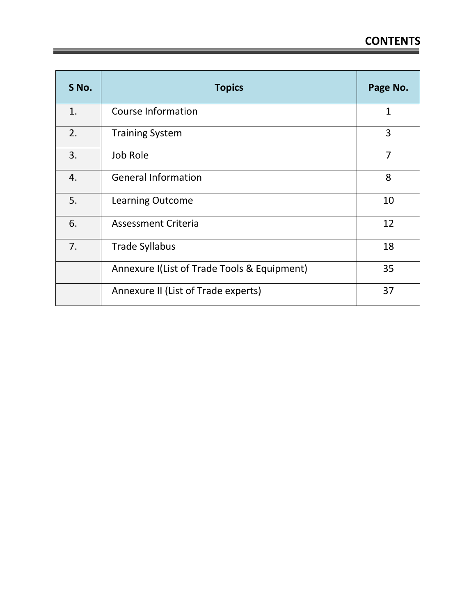| S No. | <b>Topics</b>                               | Page No.       |
|-------|---------------------------------------------|----------------|
| 1.    | <b>Course Information</b>                   | 1              |
| 2.    | <b>Training System</b>                      | 3              |
| 3.    | Job Role                                    | $\overline{7}$ |
| 4.    | <b>General Information</b>                  | 8              |
| 5.    | <b>Learning Outcome</b>                     | 10             |
| 6.    | Assessment Criteria                         | 12             |
| 7.    | <b>Trade Syllabus</b>                       | 18             |
|       | Annexure I(List of Trade Tools & Equipment) | 35             |
|       | Annexure II (List of Trade experts)         | 37             |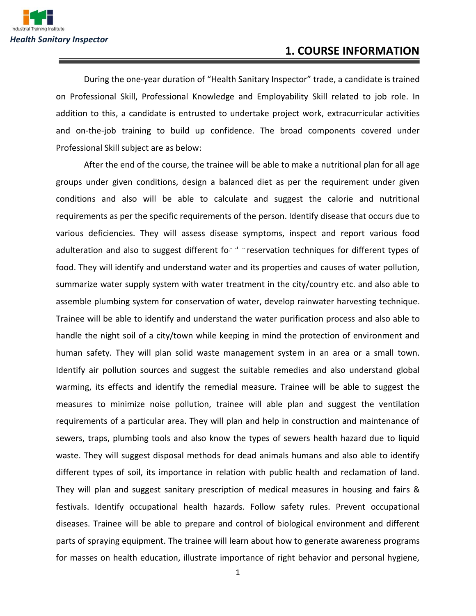During the one-year duration of "Health Sanitary Inspector" trade, a candidate is trained on Professional Skill, Professional Knowledge and Employability Skill related to job role. In addition to this, a candidate is entrusted to undertake project work, extracurricular activities and on-the-job training to build up confidence. The broad components covered under Professional Skill subject are as below:

After the end of the course, the trainee will be able to make a nutritional plan for all age groups under given conditions, design a balanced diet as per the requirement under given conditions and also will be able to calculate and suggest the calorie and nutritional requirements as per the specific requirements of the person. Identify disease that occurs due to various deficiencies. They will assess disease symptoms, inspect and report various food adulteration and also to suggest different for  $d$  preservation techniques for different types of food. They will identify and understand water and its properties and causes of water pollution, summarize water supply system with water treatment in the city/country etc. and also able to assemble plumbing system for conservation of water, develop rainwater harvesting technique. Trainee will be able to identify and understand the water purification process and also able to handle the night soil of a city/town while keeping in mind the protection of environment and human safety. They will plan solid waste management system in an area or a small town. Identify air pollution sources and suggest the suitable remedies and also understand global warming, its effects and identify the remedial measure. Trainee will be able to suggest the measures to minimize noise pollution, trainee will able plan and suggest the ventilation requirements of a particular area. They will plan and help in construction and maintenance of sewers, traps, plumbing tools and also know the types of sewers health hazard due to liquid waste. They will suggest disposal methods for dead animals humans and also able to identify different types of soil, its importance in relation with public health and reclamation of land. They will plan and suggest sanitary prescription of medical measures in housing and fairs & festivals. Identify occupational health hazards. Follow safety rules. Prevent occupational diseases. Trainee will be able to prepare and control of biological environment and different parts of spraying equipment. The trainee will learn about how to generate awareness programs for masses on health education, illustrate importance of right behavior and personal hygiene,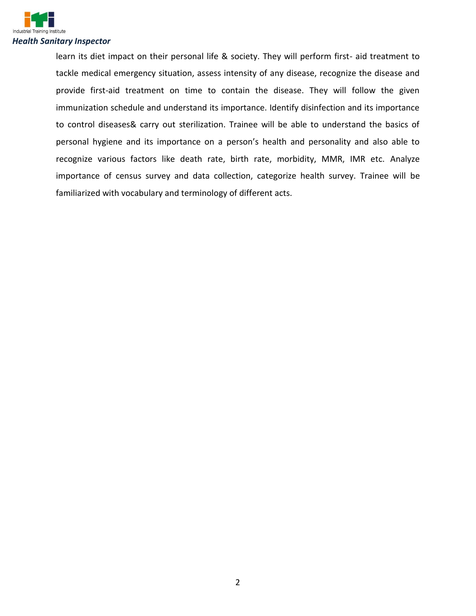

learn its diet impact on their personal life & society. They will perform first- aid treatment to tackle medical emergency situation, assess intensity of any disease, recognize the disease and provide first-aid treatment on time to contain the disease. They will follow the given immunization schedule and understand its importance. Identify disinfection and its importance to control diseases& carry out sterilization. Trainee will be able to understand the basics of personal hygiene and its importance on a person's health and personality and also able to recognize various factors like death rate, birth rate, morbidity, MMR, IMR etc. Analyze importance of census survey and data collection, categorize health survey. Trainee will be familiarized with vocabulary and terminology of different acts.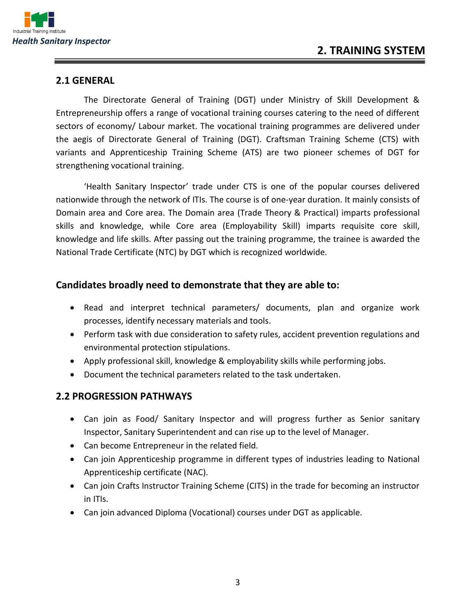

#### **2.1 GENERAL**

The Directorate General of Training (DGT) under Ministry of Skill Development & Entrepreneurship offers a range of vocational training courses catering to the need of different sectors of economy/ Labour market. The vocational training programmes are delivered under the aegis of Directorate General of Training (DGT). Craftsman Training Scheme (CTS) with variants and Apprenticeship Training Scheme (ATS) are two pioneer schemes of DGT for strengthening vocational training.

'Health Sanitary Inspector' trade under CTS is one of the popular courses delivered nationwide through the network of ITIs. The course is of one-year duration. It mainly consists of Domain area and Core area. The Domain area (Trade Theory & Practical) imparts professional skills and knowledge, while Core area (Employability Skill) imparts requisite core skill, knowledge and life skills. After passing out the training programme, the trainee is awarded the National Trade Certificate (NTC) by DGT which is recognized worldwide.

#### **Candidates broadly need to demonstrate that they are able to:**

- Read and interpret technical parameters/ documents, plan and organize work processes, identify necessary materials and tools.
- Perform task with due consideration to safety rules, accident prevention regulations and environmental protection stipulations.
- Apply professional skill, knowledge & employability skills while performing jobs.
- Document the technical parameters related to the task undertaken.

#### **2.2 PROGRESSION PATHWAYS**

- Can join as Food/ Sanitary Inspector and will progress further as Senior sanitary Inspector, Sanitary Superintendent and can rise up to the level of Manager.
- Can become Entrepreneur in the related field.
- Can join Apprenticeship programme in different types of industries leading to National Apprenticeship certificate (NAC).
- Can join Crafts Instructor Training Scheme (CITS) in the trade for becoming an instructor in ITIs.
- Can join advanced Diploma (Vocational) courses under DGT as applicable.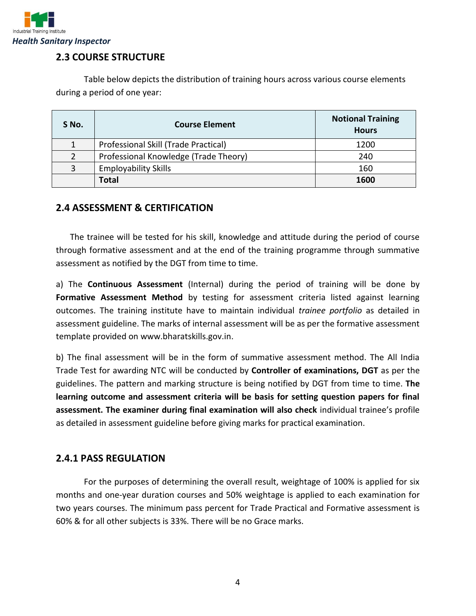

# **2.3 COURSE STRUCTURE**

Table below depicts the distribution of training hours across various course elements during a period of one year:

| S No.         | <b>Course Element</b>                 | <b>Notional Training</b><br><b>Hours</b> |
|---------------|---------------------------------------|------------------------------------------|
|               | Professional Skill (Trade Practical)  | 1200                                     |
| $\mathcal{P}$ | Professional Knowledge (Trade Theory) | 240                                      |
| 3             | <b>Employability Skills</b>           | 160                                      |
|               | <b>Total</b>                          | 1600                                     |

### **2.4 ASSESSMENT & CERTIFICATION**

The trainee will be tested for his skill, knowledge and attitude during the period of course through formative assessment and at the end of the training programme through summative assessment as notified by the DGT from time to time.

a) The **Continuous Assessment** (Internal) during the period of training will be done by **Formative Assessment Method** by testing for assessment criteria listed against learning outcomes. The training institute have to maintain individual *trainee portfolio* as detailed in assessment guideline. The marks of internal assessment will be as per the formative assessment template provided on www.bharatskills.gov.in.

b) The final assessment will be in the form of summative assessment method. The All India Trade Test for awarding NTC will be conducted by **Controller of examinations, DGT** as per the guidelines. The pattern and marking structure is being notified by DGT from time to time. **The learning outcome and assessment criteria will be basis for setting question papers for final assessment. The examiner during final examination will also check** individual trainee's profile as detailed in assessment guideline before giving marks for practical examination.

# **2.4.1 PASS REGULATION**

For the purposes of determining the overall result, weightage of 100% is applied for six months and one-year duration courses and 50% weightage is applied to each examination for two years courses. The minimum pass percent for Trade Practical and Formative assessment is 60% & for all other subjects is 33%. There will be no Grace marks.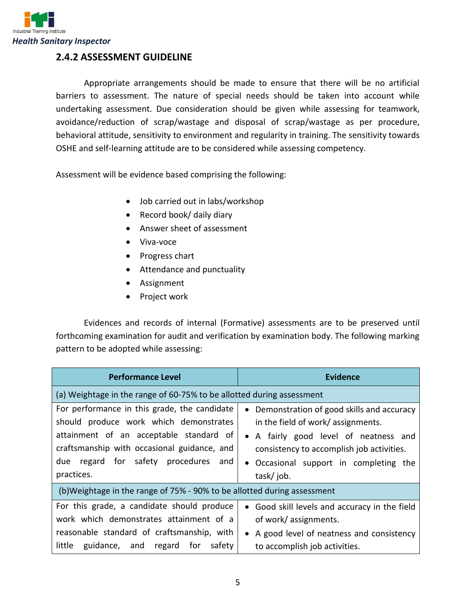

## **2.4.2 ASSESSMENT GUIDELINE**

Appropriate arrangements should be made to ensure that there will be no artificial barriers to assessment. The nature of special needs should be taken into account while undertaking assessment. Due consideration should be given while assessing for teamwork, avoidance/reduction of scrap/wastage and disposal of scrap/wastage as per procedure, behavioral attitude, sensitivity to environment and regularity in training. The sensitivity towards OSHE and self-learning attitude are to be considered while assessing competency.

Assessment will be evidence based comprising the following:

- Job carried out in labs/workshop
- Record book/ daily diary
- Answer sheet of assessment
- Viva-voce
- Progress chart
- Attendance and punctuality
- Assignment
- Project work

Evidences and records of internal (Formative) assessments are to be preserved until forthcoming examination for audit and verification by examination body. The following marking pattern to be adopted while assessing:

| <b>Performance Level</b>                                                                                                                                                                                                                     | <b>Evidence</b>                                                                                                                                                                                                                          |  |
|----------------------------------------------------------------------------------------------------------------------------------------------------------------------------------------------------------------------------------------------|------------------------------------------------------------------------------------------------------------------------------------------------------------------------------------------------------------------------------------------|--|
| (a) Weightage in the range of 60-75% to be allotted during assessment                                                                                                                                                                        |                                                                                                                                                                                                                                          |  |
| For performance in this grade, the candidate<br>should produce work which demonstrates<br>attainment of an acceptable standard of<br>craftsmanship with occasional guidance, and<br>regard for safety procedures<br>due<br>and<br>practices. | Demonstration of good skills and accuracy<br>$\bullet$<br>in the field of work/assignments.<br>• A fairly good level of neatness and<br>consistency to accomplish job activities.<br>• Occasional support in completing the<br>task/job. |  |
| (b) Weightage in the range of 75% - 90% to be allotted during assessment                                                                                                                                                                     |                                                                                                                                                                                                                                          |  |
| For this grade, a candidate should produce<br>work which demonstrates attainment of a<br>reasonable standard of craftsmanship, with<br>guidance, and regard for<br>little<br>safety                                                          | • Good skill levels and accuracy in the field<br>of work/ assignments.<br>• A good level of neatness and consistency<br>to accomplish job activities.                                                                                    |  |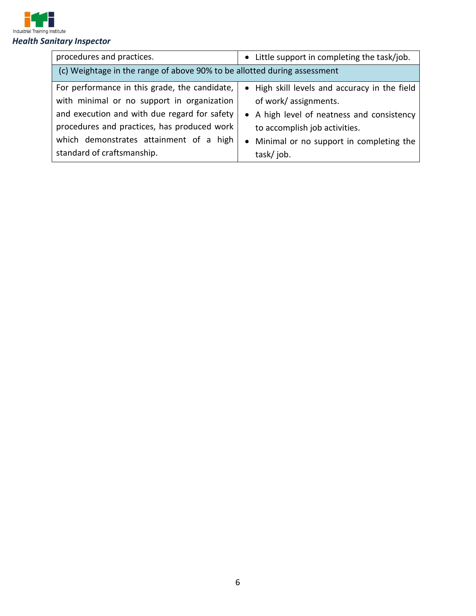

| procedures and practices.                                                | • Little support in completing the task/job.          |  |
|--------------------------------------------------------------------------|-------------------------------------------------------|--|
| (c) Weightage in the range of above 90% to be allotted during assessment |                                                       |  |
| For performance in this grade, the candidate,                            | • High skill levels and accuracy in the field         |  |
| with minimal or no support in organization                               | of work/assignments.                                  |  |
| and execution and with due regard for safety                             | A high level of neatness and consistency<br>$\bullet$ |  |
| procedures and practices, has produced work                              | to accomplish job activities.                         |  |
| which demonstrates attainment of a high                                  | Minimal or no support in completing the<br>$\bullet$  |  |
| standard of craftsmanship.                                               | task/job.                                             |  |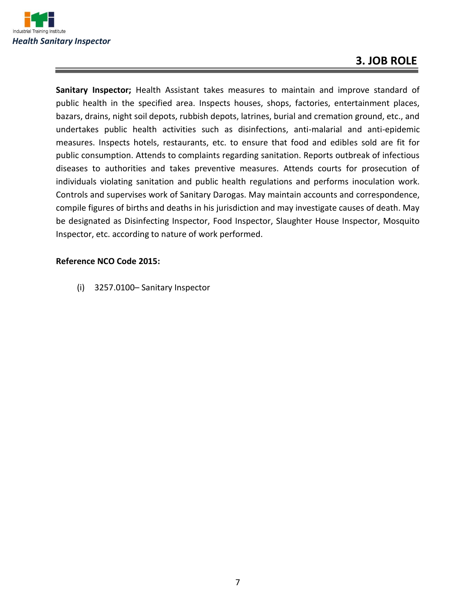

# **3. JOB ROLE**

**Sanitary Inspector;** Health Assistant takes measures to maintain and improve standard of public health in the specified area. Inspects houses, shops, factories, entertainment places, bazars, drains, night soil depots, rubbish depots, latrines, burial and cremation ground, etc., and undertakes public health activities such as disinfections, anti-malarial and anti-epidemic measures. Inspects hotels, restaurants, etc. to ensure that food and edibles sold are fit for public consumption. Attends to complaints regarding sanitation. Reports outbreak of infectious diseases to authorities and takes preventive measures. Attends courts for prosecution of individuals violating sanitation and public health regulations and performs inoculation work. Controls and supervises work of Sanitary Darogas. May maintain accounts and correspondence, compile figures of births and deaths in his jurisdiction and may investigate causes of death. May be designated as Disinfecting Inspector, Food Inspector, Slaughter House Inspector, Mosquito Inspector, etc. according to nature of work performed.

#### **Reference NCO Code 2015:**

(i) 3257.0100– Sanitary Inspector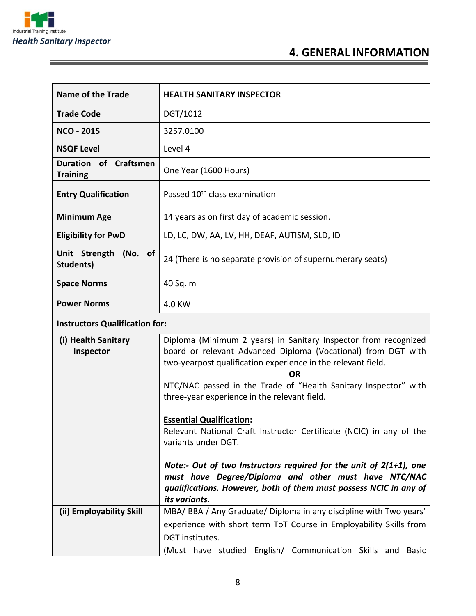

and the control of the control of the control of the control of the control of the control of

# **4. GENERAL INFORMATION**

| <b>Name of the Trade</b>                           | <b>HEALTH SANITARY INSPECTOR</b>                                                                                                                                                                                                                                                                                                                                                                                                                                                                                                                                                                                                                                                         |  |
|----------------------------------------------------|------------------------------------------------------------------------------------------------------------------------------------------------------------------------------------------------------------------------------------------------------------------------------------------------------------------------------------------------------------------------------------------------------------------------------------------------------------------------------------------------------------------------------------------------------------------------------------------------------------------------------------------------------------------------------------------|--|
| <b>Trade Code</b>                                  | DGT/1012                                                                                                                                                                                                                                                                                                                                                                                                                                                                                                                                                                                                                                                                                 |  |
| <b>NCO - 2015</b>                                  | 3257.0100                                                                                                                                                                                                                                                                                                                                                                                                                                                                                                                                                                                                                                                                                |  |
| <b>NSQF Level</b>                                  | Level 4                                                                                                                                                                                                                                                                                                                                                                                                                                                                                                                                                                                                                                                                                  |  |
| of Craftsmen<br><b>Duration</b><br><b>Training</b> | One Year (1600 Hours)                                                                                                                                                                                                                                                                                                                                                                                                                                                                                                                                                                                                                                                                    |  |
| <b>Entry Qualification</b>                         | Passed 10 <sup>th</sup> class examination                                                                                                                                                                                                                                                                                                                                                                                                                                                                                                                                                                                                                                                |  |
| <b>Minimum Age</b>                                 | 14 years as on first day of academic session.                                                                                                                                                                                                                                                                                                                                                                                                                                                                                                                                                                                                                                            |  |
| <b>Eligibility for PwD</b>                         | LD, LC, DW, AA, LV, HH, DEAF, AUTISM, SLD, ID                                                                                                                                                                                                                                                                                                                                                                                                                                                                                                                                                                                                                                            |  |
| Unit Strength (No. of<br><b>Students)</b>          | 24 (There is no separate provision of supernumerary seats)                                                                                                                                                                                                                                                                                                                                                                                                                                                                                                                                                                                                                               |  |
| <b>Space Norms</b>                                 | 40 Sq. m                                                                                                                                                                                                                                                                                                                                                                                                                                                                                                                                                                                                                                                                                 |  |
| <b>Power Norms</b>                                 | 4.0 KW                                                                                                                                                                                                                                                                                                                                                                                                                                                                                                                                                                                                                                                                                   |  |
| <b>Instructors Qualification for:</b>              |                                                                                                                                                                                                                                                                                                                                                                                                                                                                                                                                                                                                                                                                                          |  |
| (i) Health Sanitary<br>Inspector                   | Diploma (Minimum 2 years) in Sanitary Inspector from recognized<br>board or relevant Advanced Diploma (Vocational) from DGT with<br>two-yearpost qualification experience in the relevant field.<br><b>OR</b><br>NTC/NAC passed in the Trade of "Health Sanitary Inspector" with<br>three-year experience in the relevant field.<br><b>Essential Qualification:</b><br>Relevant National Craft Instructor Certificate (NCIC) in any of the<br>variants under DGT.<br>Note:- Out of two Instructors required for the unit of $2(1+1)$ , one<br>must have Degree/Diploma and other must have NTC/NAC<br>qualifications. However, both of them must possess NCIC in any of<br>its variants. |  |
| (ii) Employability Skill                           | MBA/ BBA / Any Graduate/ Diploma in any discipline with Two years'<br>experience with short term ToT Course in Employability Skills from<br>DGT institutes.<br>(Must have studied English/ Communication Skills and Basic                                                                                                                                                                                                                                                                                                                                                                                                                                                                |  |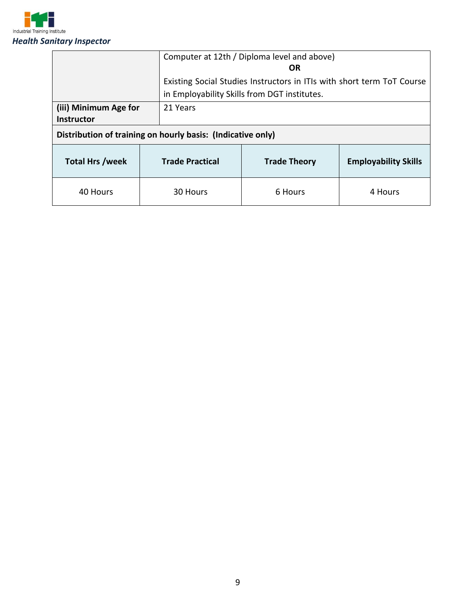

|                                            |                                                             | Computer at 12th / Diploma level and above)<br>OR                                                                      |                             |  |
|--------------------------------------------|-------------------------------------------------------------|------------------------------------------------------------------------------------------------------------------------|-----------------------------|--|
|                                            |                                                             | Existing Social Studies Instructors in ITIs with short term ToT Course<br>in Employability Skills from DGT institutes. |                             |  |
| (iii) Minimum Age for<br><b>Instructor</b> | 21 Years                                                    |                                                                                                                        |                             |  |
|                                            | Distribution of training on hourly basis: (Indicative only) |                                                                                                                        |                             |  |
| <b>Total Hrs /week</b>                     | <b>Trade Practical</b>                                      | <b>Trade Theory</b>                                                                                                    | <b>Employability Skills</b> |  |
| 40 Hours                                   | 30 Hours                                                    | 6 Hours                                                                                                                | 4 Hours                     |  |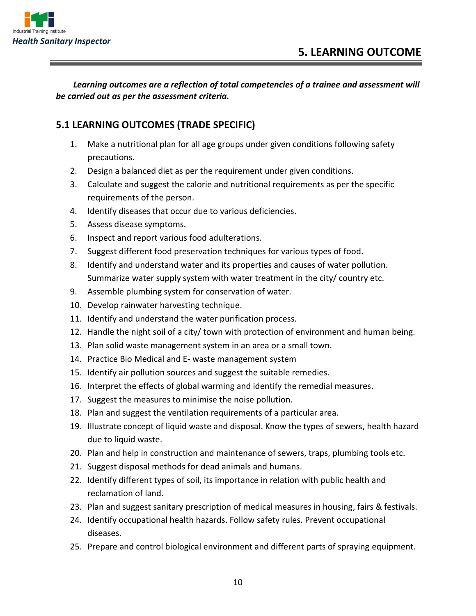

*Learning outcomes are a reflection of total competencies of a trainee and assessment will be carried out as per the assessment criteria.*

# **5.1 LEARNING OUTCOMES (TRADE SPECIFIC)**

- 1. Make a nutritional plan for all age groups under given conditions following safety precautions.
- 2. Design a balanced diet as per the requirement under given conditions.
- 3. Calculate and suggest the calorie and nutritional requirements as per the specific requirements of the person.
- 4. Identify diseases that occur due to various deficiencies.
- 5. Assess disease symptoms.
- 6. Inspect and report various food adulterations.
- 7. Suggest different food preservation techniques for various types of food.
- 8. Identify and understand water and its properties and causes of water pollution. Summarize water supply system with water treatment in the city/ country etc.
- 9. Assemble plumbing system for conservation of water.
- 10. Develop rainwater harvesting technique.
- 11. Identify and understand the water purification process.
- 12. Handle the night soil of a city/ town with protection of environment and human being.
- 13. Plan solid waste management system in an area or a small town.
- 14. Practice Bio Medical and E- waste management system
- 15. Identify air pollution sources and suggest the suitable remedies.
- 16. Interpret the effects of global warming and identify the remedial measures.
- 17. Suggest the measures to minimise the noise pollution.
- 18. Plan and suggest the ventilation requirements of a particular area.
- 19. Illustrate concept of liquid waste and disposal. Know the types of sewers, health hazard due to liquid waste.
- 20. Plan and help in construction and maintenance of sewers, traps, plumbing tools etc.
- 21. Suggest disposal methods for dead animals and humans.
- 22. Identify different types of soil, its importance in relation with public health and reclamation of land.
- 23. Plan and suggest sanitary prescription of medical measures in housing, fairs & festivals.
- 24. Identify occupational health hazards. Follow safety rules. Prevent occupational diseases.
- 25. Prepare and control biological environment and different parts of spraying equipment.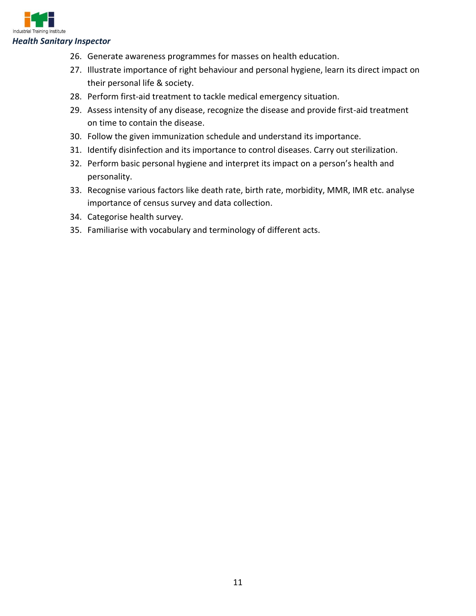

- 26. Generate awareness programmes for masses on health education.
- 27. Illustrate importance of right behaviour and personal hygiene, learn its direct impact on their personal life & society.
- 28. Perform first-aid treatment to tackle medical emergency situation.
- 29. Assess intensity of any disease, recognize the disease and provide first-aid treatment on time to contain the disease.
- 30. Follow the given immunization schedule and understand its importance.
- 31. Identify disinfection and its importance to control diseases. Carry out sterilization.
- 32. Perform basic personal hygiene and interpret its impact on a person's health and personality.
- 33. Recognise various factors like death rate, birth rate, morbidity, MMR, IMR etc. analyse importance of census survey and data collection.
- 34. Categorise health survey.
- 35. Familiarise with vocabulary and terminology of different acts.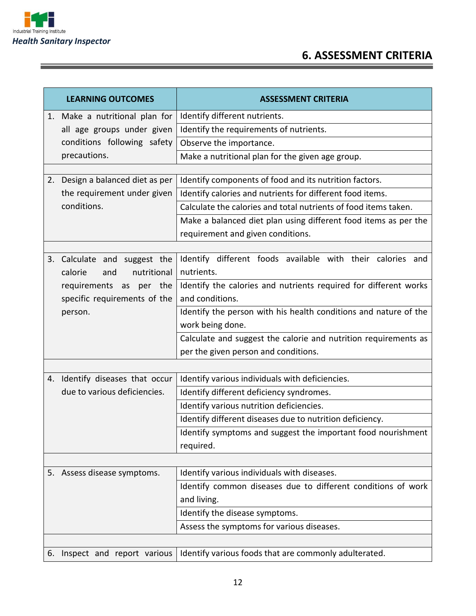

<u> Termin de la provincia de la provincia de la provincia de la provincia de la provincia de la provincia de la p</u>

# **6. ASSESSMENT CRITERIA**

| <b>LEARNING OUTCOMES</b>         | <b>ASSESSMENT CRITERIA</b>                                       |  |
|----------------------------------|------------------------------------------------------------------|--|
| 1. Make a nutritional plan for   | Identify different nutrients.                                    |  |
| all age groups under given       | Identify the requirements of nutrients.                          |  |
| conditions following safety      | Observe the importance.                                          |  |
| precautions.                     | Make a nutritional plan for the given age group.                 |  |
|                                  |                                                                  |  |
| 2. Design a balanced diet as per | Identify components of food and its nutrition factors.           |  |
| the requirement under given      | Identify calories and nutrients for different food items.        |  |
| conditions.                      | Calculate the calories and total nutrients of food items taken.  |  |
|                                  | Make a balanced diet plan using different food items as per the  |  |
|                                  | requirement and given conditions.                                |  |
|                                  |                                                                  |  |
| 3. Calculate and suggest the     | Identify different foods available with their calories and       |  |
| nutritional<br>calorie<br>and    | nutrients.                                                       |  |
| requirements as per the          | Identify the calories and nutrients required for different works |  |
| specific requirements of the     | and conditions.                                                  |  |
| person.                          | Identify the person with his health conditions and nature of the |  |
|                                  | work being done.                                                 |  |
|                                  | Calculate and suggest the calorie and nutrition requirements as  |  |
|                                  | per the given person and conditions.                             |  |
|                                  |                                                                  |  |
| 4. Identify diseases that occur  | Identify various individuals with deficiencies.                  |  |
| due to various deficiencies.     | Identify different deficiency syndromes.                         |  |
|                                  | Identify various nutrition deficiencies.                         |  |
|                                  | Identify different diseases due to nutrition deficiency.         |  |
|                                  | Identify symptoms and suggest the important food nourishment     |  |
|                                  | required.                                                        |  |
|                                  |                                                                  |  |
| 5. Assess disease symptoms.      | Identify various individuals with diseases.                      |  |
|                                  | Identify common diseases due to different conditions of work     |  |
|                                  | and living.                                                      |  |
|                                  | Identify the disease symptoms.                                   |  |
|                                  | Assess the symptoms for various diseases.                        |  |
|                                  |                                                                  |  |
| 6. Inspect and report various    | Identify various foods that are commonly adulterated.            |  |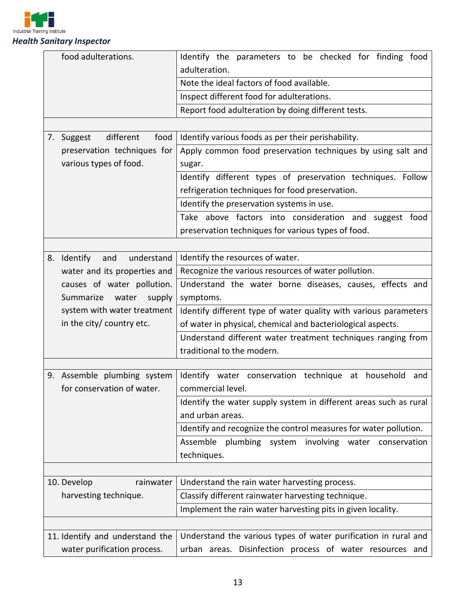

| food adulterations. |                                 | Identify the parameters to be checked for finding food<br>adulteration.               |
|---------------------|---------------------------------|---------------------------------------------------------------------------------------|
|                     |                                 | Note the ideal factors of food available.                                             |
|                     |                                 | Inspect different food for adulterations.                                             |
|                     |                                 | Report food adulteration by doing different tests.                                    |
|                     |                                 |                                                                                       |
|                     | different<br>food<br>7. Suggest | Identify various foods as per their perishability.                                    |
|                     | preservation techniques for     | Apply common food preservation techniques by using salt and                           |
|                     | various types of food.          | sugar.                                                                                |
|                     |                                 | Identify different types of preservation techniques. Follow                           |
|                     |                                 | refrigeration techniques for food preservation.                                       |
|                     |                                 | Identify the preservation systems in use.                                             |
|                     |                                 | Take above factors into consideration and suggest food                                |
|                     |                                 |                                                                                       |
|                     |                                 | preservation techniques for various types of food.                                    |
|                     |                                 |                                                                                       |
| 8.                  | understand<br>Identify<br>and   | Identify the resources of water.                                                      |
|                     | water and its properties and    | Recognize the various resources of water pollution.                                   |
|                     | causes of water pollution.      | Understand the water borne diseases, causes, effects and                              |
|                     | Summarize<br>water<br>supply    | symptoms.                                                                             |
|                     | system with water treatment     | Identify different type of water quality with various parameters                      |
|                     | in the city/ country etc.       | of water in physical, chemical and bacteriological aspects.                           |
|                     |                                 | Understand different water treatment techniques ranging from                          |
|                     |                                 | traditional to the modern.                                                            |
|                     | 9. Assemble plumbing system     |                                                                                       |
|                     | for conservation of water.      | Identify water conservation technique at household<br>and<br>commercial level.        |
|                     |                                 |                                                                                       |
|                     |                                 | Identify the water supply system in different areas such as rural<br>and urban areas. |
|                     |                                 |                                                                                       |
|                     |                                 | Identify and recognize the control measures for water pollution.                      |
|                     |                                 | Assemble<br>plumbing<br>system<br>involving water conservation                        |
|                     |                                 | techniques.                                                                           |
|                     |                                 |                                                                                       |
|                     | 10. Develop<br>rainwater        | Understand the rain water harvesting process.                                         |
|                     | harvesting technique.           | Classify different rainwater harvesting technique.                                    |
|                     |                                 | Implement the rain water harvesting pits in given locality.                           |
|                     |                                 |                                                                                       |
|                     | 11. Identify and understand the | Understand the various types of water purification in rural and                       |
|                     | water purification process.     | urban areas. Disinfection process of water resources and                              |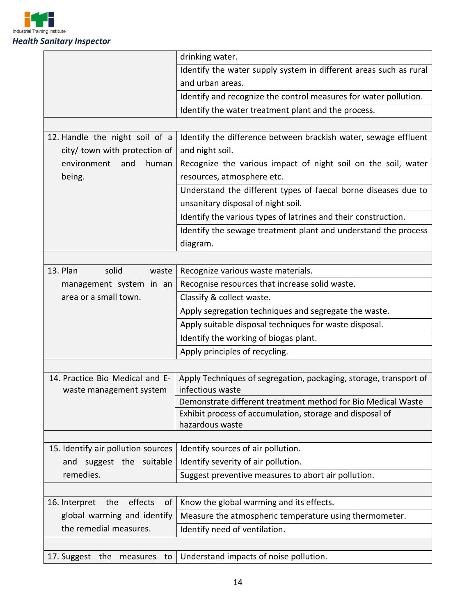

|                                                            | drinking water.                                                                       |
|------------------------------------------------------------|---------------------------------------------------------------------------------------|
|                                                            | Identify the water supply system in different areas such as rural                     |
|                                                            | and urban areas.                                                                      |
|                                                            | Identify and recognize the control measures for water pollution.                      |
|                                                            | Identify the water treatment plant and the process.                                   |
|                                                            |                                                                                       |
| 12. Handle the night soil of a                             | Identify the difference between brackish water, sewage effluent                       |
| city/ town with protection of                              | and night soil.                                                                       |
| environment<br>and<br>human                                | Recognize the various impact of night soil on the soil, water                         |
| being.                                                     | resources, atmosphere etc.                                                            |
|                                                            | Understand the different types of faecal borne diseases due to                        |
|                                                            | unsanitary disposal of night soil.                                                    |
|                                                            | Identify the various types of latrines and their construction.                        |
|                                                            | Identify the sewage treatment plant and understand the process                        |
|                                                            | diagram.                                                                              |
|                                                            |                                                                                       |
| 13. Plan<br>solid<br>waste                                 | Recognize various waste materials.                                                    |
| management system in an                                    | Recognise resources that increase solid waste.                                        |
| area or a small town.                                      | Classify & collect waste.                                                             |
|                                                            | Apply segregation techniques and segregate the waste.                                 |
|                                                            | Apply suitable disposal techniques for waste disposal.                                |
|                                                            | Identify the working of biogas plant.                                                 |
|                                                            | Apply principles of recycling.                                                        |
|                                                            |                                                                                       |
| 14. Practice Bio Medical and E-<br>waste management system | Apply Techniques of segregation, packaging, storage, transport of<br>infectious waste |
|                                                            | Demonstrate different treatment method for Bio Medical Waste                          |
|                                                            | Exhibit process of accumulation, storage and disposal of                              |
|                                                            | hazardous waste                                                                       |
|                                                            |                                                                                       |
| 15. Identify air pollution sources                         | Identify sources of air pollution.                                                    |
| and suggest the suitable                                   | Identify severity of air pollution.                                                   |
| remedies.                                                  | Suggest preventive measures to abort air pollution.                                   |
|                                                            |                                                                                       |
| effects<br>16. Interpret<br>the<br>of                      | Know the global warming and its effects.                                              |
| global warming and identify                                | Measure the atmospheric temperature using thermometer.                                |
| the remedial measures.                                     | Identify need of ventilation.                                                         |
|                                                            |                                                                                       |
| 17. Suggest the<br>measures<br>to                          | Understand impacts of noise pollution.                                                |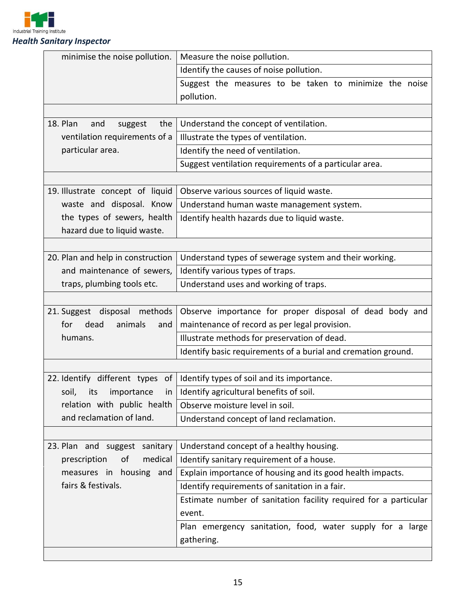

| <b>Health Sanitary Inspector</b> |  |
|----------------------------------|--|
|----------------------------------|--|

| minimise the noise pollution.      | Measure the noise pollution.                                     |
|------------------------------------|------------------------------------------------------------------|
|                                    | Identify the causes of noise pollution.                          |
|                                    | Suggest the measures to be taken to minimize the noise           |
|                                    | pollution.                                                       |
|                                    |                                                                  |
| 18. Plan<br>and<br>the<br>suggest  | Understand the concept of ventilation.                           |
| ventilation requirements of a      | Illustrate the types of ventilation.                             |
| particular area.                   | Identify the need of ventilation.                                |
|                                    | Suggest ventilation requirements of a particular area.           |
|                                    |                                                                  |
| 19. Illustrate concept of liquid   | Observe various sources of liquid waste.                         |
| waste and disposal. Know           | Understand human waste management system.                        |
| the types of sewers, health        | Identify health hazards due to liquid waste.                     |
| hazard due to liquid waste.        |                                                                  |
|                                    |                                                                  |
| 20. Plan and help in construction  | Understand types of sewerage system and their working.           |
| and maintenance of sewers,         | Identify various types of traps.                                 |
| traps, plumbing tools etc.         | Understand uses and working of traps.                            |
|                                    |                                                                  |
| 21. Suggest disposal methods       | Observe importance for proper disposal of dead body and          |
| dead<br>animals<br>for<br>and      | maintenance of record as per legal provision.                    |
| humans.                            | Illustrate methods for preservation of dead.                     |
|                                    | Identify basic requirements of a burial and cremation ground.    |
|                                    |                                                                  |
|                                    |                                                                  |
| 22. Identify different types<br>of | Identify types of soil and its importance.                       |
| soil,<br>importance<br>its<br>in   | Identify agricultural benefits of soil.                          |
| relation with public health        | Observe moisture level in soil.                                  |
| and reclamation of land.           | Understand concept of land reclamation.                          |
|                                    |                                                                  |
| 23. Plan and suggest sanitary      | Understand concept of a healthy housing.                         |
| medical<br>prescription<br>οf      | Identify sanitary requirement of a house.                        |
| measures in housing and            | Explain importance of housing and its good health impacts.       |
| fairs & festivals.                 | Identify requirements of sanitation in a fair.                   |
|                                    | Estimate number of sanitation facility required for a particular |
|                                    | event.                                                           |
|                                    | Plan emergency sanitation, food, water supply for a large        |
|                                    | gathering.                                                       |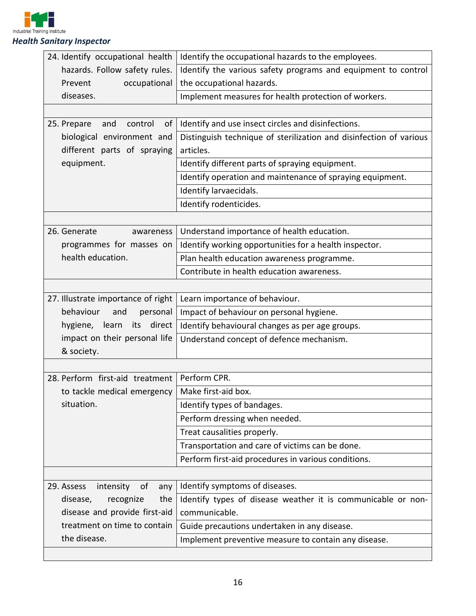

| 24. Identify occupational health     | Identify the occupational hazards to the employees.                |
|--------------------------------------|--------------------------------------------------------------------|
| hazards. Follow safety rules.        | Identify the various safety programs and equipment to control      |
| Prevent<br>occupational              | the occupational hazards.                                          |
| diseases.                            | Implement measures for health protection of workers.               |
|                                      |                                                                    |
| of<br>25. Prepare<br>and<br>control  | Identify and use insect circles and disinfections.                 |
| biological environment and           | Distinguish technique of sterilization and disinfection of various |
| different parts of spraying          | articles.                                                          |
| equipment.                           | Identify different parts of spraying equipment.                    |
|                                      | Identify operation and maintenance of spraying equipment.          |
|                                      | Identify larvaecidals.                                             |
|                                      | Identify rodenticides.                                             |
|                                      |                                                                    |
| 26. Generate<br>awareness            | Understand importance of health education.                         |
| programmes for masses on             | Identify working opportunities for a health inspector.             |
| health education.                    | Plan health education awareness programme.                         |
|                                      | Contribute in health education awareness.                          |
|                                      |                                                                    |
| 27. Illustrate importance of right   | Learn importance of behaviour.                                     |
| behaviour<br>personal<br>and         | Impact of behaviour on personal hygiene.                           |
| direct<br>hygiene, learn<br>its      | Identify behavioural changes as per age groups.                    |
| impact on their personal life        | Understand concept of defence mechanism.                           |
| & society.                           |                                                                    |
|                                      |                                                                    |
| 28. Perform first-aid treatment      | Perform CPR.                                                       |
| to tackle medical emergency          | Make first-aid box.                                                |
| situation.                           | Identify types of bandages.                                        |
|                                      | Perform dressing when needed.                                      |
|                                      | Treat causalities properly.                                        |
|                                      | Transportation and care of victims can be done.                    |
|                                      | Perform first-aid procedures in various conditions.                |
|                                      |                                                                    |
| 29. Assess<br>intensity<br>of<br>any | Identify symptoms of diseases.                                     |
| disease,<br>recognize<br>the         | Identify types of disease weather it is communicable or non-       |
| disease and provide first-aid        | communicable.                                                      |
| treatment on time to contain         | Guide precautions undertaken in any disease.                       |
| the disease.                         | Implement preventive measure to contain any disease.               |
|                                      |                                                                    |

 $\mathbf{I}$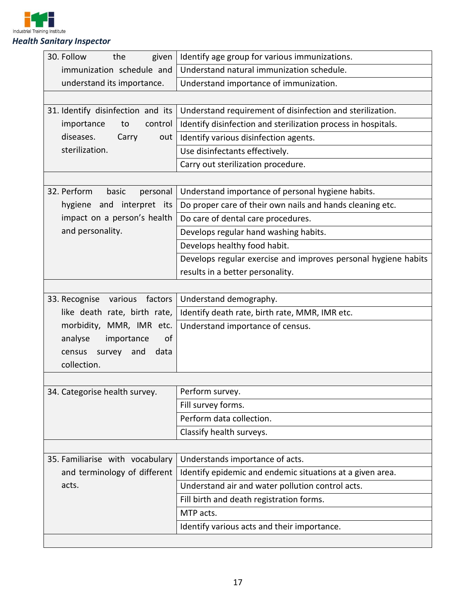

| 30. Follow<br>given<br>the        | Identify age group for various immunizations.                  |  |  |
|-----------------------------------|----------------------------------------------------------------|--|--|
| immunization schedule and         | Understand natural immunization schedule.                      |  |  |
| understand its importance.        | Understand importance of immunization.                         |  |  |
|                                   |                                                                |  |  |
| 31. Identify disinfection and its | Understand requirement of disinfection and sterilization.      |  |  |
| importance<br>control<br>to       | Identify disinfection and sterilization process in hospitals.  |  |  |
| diseases.<br>Carry<br>out         | Identify various disinfection agents.                          |  |  |
| sterilization.                    | Use disinfectants effectively.                                 |  |  |
|                                   | Carry out sterilization procedure.                             |  |  |
|                                   |                                                                |  |  |
| 32. Perform<br>basic<br>personal  | Understand importance of personal hygiene habits.              |  |  |
| hygiene and interpret its         | Do proper care of their own nails and hands cleaning etc.      |  |  |
| impact on a person's health       | Do care of dental care procedures.                             |  |  |
| and personality.                  | Develops regular hand washing habits.                          |  |  |
|                                   | Develops healthy food habit.                                   |  |  |
|                                   | Develops regular exercise and improves personal hygiene habits |  |  |
|                                   | results in a better personality.                               |  |  |
|                                   |                                                                |  |  |
| 33. Recognise<br>various factors  | Understand demography.                                         |  |  |
| like death rate, birth rate,      | Identify death rate, birth rate, MMR, IMR etc.                 |  |  |
| morbidity, MMR, IMR etc.          | Understand importance of census.                               |  |  |
| analyse<br>importance<br>of       |                                                                |  |  |
| and<br>data<br>census<br>survey   |                                                                |  |  |
| collection.                       |                                                                |  |  |
|                                   |                                                                |  |  |
| 34. Categorise health survey.     | Perform survey.                                                |  |  |
|                                   | Fill survey forms.                                             |  |  |
|                                   | Perform data collection.                                       |  |  |
|                                   | Classify health surveys.                                       |  |  |
|                                   |                                                                |  |  |
| 35. Familiarise with vocabulary   | Understands importance of acts.                                |  |  |
| and terminology of different      | Identify epidemic and endemic situations at a given area.      |  |  |
| acts.                             | Understand air and water pollution control acts.               |  |  |
|                                   | Fill birth and death registration forms.                       |  |  |
|                                   | MTP acts.                                                      |  |  |
|                                   | Identify various acts and their importance.                    |  |  |
|                                   |                                                                |  |  |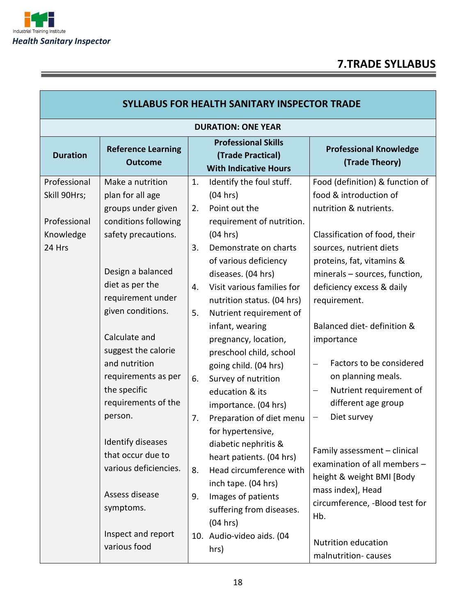

# **7.TRADE SYLLABUS**

| <b>SYLLABUS FOR HEALTH SANITARY INSPECTOR TRADE</b>                 |                                                                                                                                                                                                                                                                                                                                                                                                                                                                       |                                                    |                                                                                                                                                                                                                                                                                                                                                                                                                                                                                                                                                                                                                                                                                          |                                                                                                                                                                                                                                                                                                                                                                                                                                                                                                                                                                                                                                                                                          |  |  |
|---------------------------------------------------------------------|-----------------------------------------------------------------------------------------------------------------------------------------------------------------------------------------------------------------------------------------------------------------------------------------------------------------------------------------------------------------------------------------------------------------------------------------------------------------------|----------------------------------------------------|------------------------------------------------------------------------------------------------------------------------------------------------------------------------------------------------------------------------------------------------------------------------------------------------------------------------------------------------------------------------------------------------------------------------------------------------------------------------------------------------------------------------------------------------------------------------------------------------------------------------------------------------------------------------------------------|------------------------------------------------------------------------------------------------------------------------------------------------------------------------------------------------------------------------------------------------------------------------------------------------------------------------------------------------------------------------------------------------------------------------------------------------------------------------------------------------------------------------------------------------------------------------------------------------------------------------------------------------------------------------------------------|--|--|
|                                                                     |                                                                                                                                                                                                                                                                                                                                                                                                                                                                       |                                                    | <b>DURATION: ONE YEAR</b>                                                                                                                                                                                                                                                                                                                                                                                                                                                                                                                                                                                                                                                                |                                                                                                                                                                                                                                                                                                                                                                                                                                                                                                                                                                                                                                                                                          |  |  |
| <b>Duration</b>                                                     | <b>Reference Learning</b><br><b>Outcome</b>                                                                                                                                                                                                                                                                                                                                                                                                                           |                                                    | <b>Professional Skills</b><br>(Trade Practical)<br><b>With Indicative Hours</b>                                                                                                                                                                                                                                                                                                                                                                                                                                                                                                                                                                                                          | <b>Professional Knowledge</b><br>(Trade Theory)                                                                                                                                                                                                                                                                                                                                                                                                                                                                                                                                                                                                                                          |  |  |
| Professional<br>Skill 90Hrs;<br>Professional<br>Knowledge<br>24 Hrs | Make a nutrition<br>plan for all age<br>groups under given<br>conditions following<br>safety precautions.<br>Design a balanced<br>diet as per the<br>requirement under<br>given conditions.<br>Calculate and<br>suggest the calorie<br>and nutrition<br>requirements as per<br>the specific<br>requirements of the<br>person.<br>Identify diseases<br>that occur due to<br>various deficiencies.<br>Assess disease<br>symptoms.<br>Inspect and report<br>various food | 1.<br>2.<br>3.<br>4.<br>5.<br>6.<br>7.<br>8.<br>9. | Identify the foul stuff.<br>(04 hrs)<br>Point out the<br>requirement of nutrition.<br>(04 hrs)<br>Demonstrate on charts<br>of various deficiency<br>diseases. (04 hrs)<br>Visit various families for<br>nutrition status. (04 hrs)<br>Nutrient requirement of<br>infant, wearing<br>pregnancy, location,<br>preschool child, school<br>going child. (04 hrs)<br>Survey of nutrition<br>education & its<br>importance. (04 hrs)<br>Preparation of diet menu<br>for hypertensive,<br>diabetic nephritis &<br>heart patients. (04 hrs)<br>Head circumference with<br>inch tape. (04 hrs)<br>Images of patients<br>suffering from diseases.<br>(04 hrs)<br>10. Audio-video aids. (04<br>hrs) | Food (definition) & function of<br>food & introduction of<br>nutrition & nutrients.<br>Classification of food, their<br>sources, nutrient diets<br>proteins, fat, vitamins &<br>minerals - sources, function,<br>deficiency excess & daily<br>requirement.<br>Balanced diet-definition &<br>importance<br>Factors to be considered<br>$\qquad \qquad -$<br>on planning meals.<br>Nutrient requirement of<br>$\overline{\phantom{m}}$<br>different age group<br>Diet survey<br>-<br>Family assessment - clinical<br>examination of all members -<br>height & weight BMI [Body<br>mass index], Head<br>circumference, -Blood test for<br>Hb.<br>Nutrition education<br>malnutrition-causes |  |  |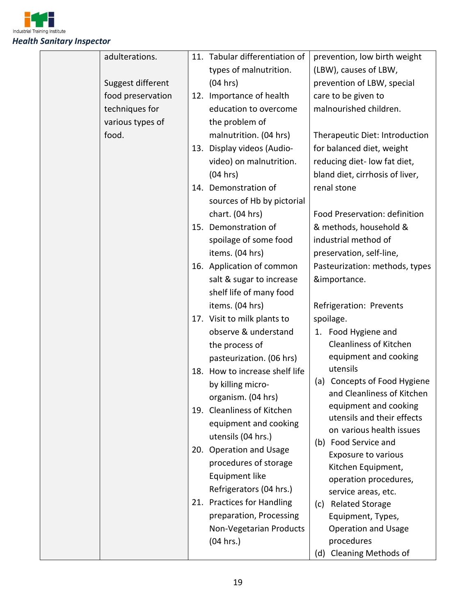

| adulterations.    |     | 11. Tabular differentiation of |     | prevention, low birth weight                  |
|-------------------|-----|--------------------------------|-----|-----------------------------------------------|
|                   |     | types of malnutrition.         |     | (LBW), causes of LBW,                         |
| Suggest different |     | (04 hrs)                       |     | prevention of LBW, special                    |
| food preservation | 12. | Importance of health           |     | care to be given to                           |
| techniques for    |     | education to overcome          |     | malnourished children.                        |
| various types of  |     | the problem of                 |     |                                               |
| food.             |     | malnutrition. (04 hrs)         |     | Therapeutic Diet: Introduction                |
|                   |     | 13. Display videos (Audio-     |     | for balanced diet, weight                     |
|                   |     | video) on malnutrition.        |     | reducing diet- low fat diet,                  |
|                   |     | (04 hrs)                       |     | bland diet, cirrhosis of liver,               |
|                   |     | 14. Demonstration of           |     | renal stone                                   |
|                   |     | sources of Hb by pictorial     |     |                                               |
|                   |     | chart. (04 hrs)                |     | Food Preservation: definition                 |
|                   |     | 15. Demonstration of           |     | & methods, household &                        |
|                   |     | spoilage of some food          |     | industrial method of                          |
|                   |     | items. (04 hrs)                |     | preservation, self-line,                      |
|                   |     | 16. Application of common      |     | Pasteurization: methods, types                |
|                   |     | salt & sugar to increase       |     | &importance.                                  |
|                   |     | shelf life of many food        |     |                                               |
|                   |     | items. (04 hrs)                |     | Refrigeration: Prevents                       |
|                   |     | 17. Visit to milk plants to    |     | spoilage.                                     |
|                   |     | observe & understand           |     | 1. Food Hygiene and                           |
|                   |     | the process of                 |     | <b>Cleanliness of Kitchen</b>                 |
|                   |     | pasteurization. (06 hrs)       |     | equipment and cooking                         |
|                   |     | 18. How to increase shelf life |     | utensils                                      |
|                   |     | by killing micro-              |     | (a) Concepts of Food Hygiene                  |
|                   |     | organism. (04 hrs)             |     | and Cleanliness of Kitchen                    |
|                   |     | 19. Cleanliness of Kitchen     |     | equipment and cooking                         |
|                   |     | equipment and cooking          |     | utensils and their effects                    |
|                   |     | utensils (04 hrs.)             |     | on various health issues                      |
|                   |     | 20. Operation and Usage        |     | (b) Food Service and                          |
|                   |     | procedures of storage          |     | <b>Exposure to various</b>                    |
|                   |     | Equipment like                 |     | Kitchen Equipment,                            |
|                   |     | Refrigerators (04 hrs.)        |     | operation procedures,                         |
|                   |     | 21. Practices for Handling     | (c) | service areas, etc.<br><b>Related Storage</b> |
|                   |     | preparation, Processing        |     | Equipment, Types,                             |
|                   |     | Non-Vegetarian Products        |     | <b>Operation and Usage</b>                    |
|                   |     | (04 hrs.)                      |     | procedures                                    |
|                   |     |                                |     | (d) Cleaning Methods of                       |
|                   |     |                                |     |                                               |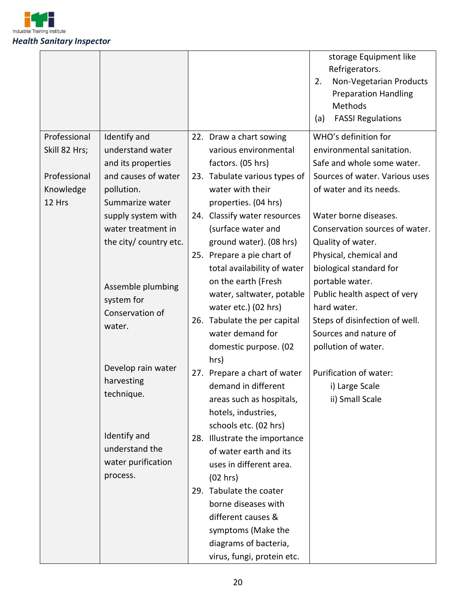

|                               |                                  |                                                        | storage Equipment like<br>Refrigerators.<br>Non-Vegetarian Products<br>2.<br><b>Preparation Handling</b><br>Methods<br><b>FASSI Regulations</b><br>(a) |
|-------------------------------|----------------------------------|--------------------------------------------------------|--------------------------------------------------------------------------------------------------------------------------------------------------------|
| Professional<br>Skill 82 Hrs; | Identify and<br>understand water | 22. Draw a chart sowing<br>various environmental       | WHO's definition for<br>environmental sanitation.                                                                                                      |
|                               | and its properties               | factors. (05 hrs)                                      | Safe and whole some water.                                                                                                                             |
| Professional                  | and causes of water              | 23. Tabulate various types of                          | Sources of water. Various uses                                                                                                                         |
| Knowledge                     | pollution.                       | water with their                                       | of water and its needs.                                                                                                                                |
| 12 Hrs                        | Summarize water                  | properties. (04 hrs)                                   |                                                                                                                                                        |
|                               | supply system with               | 24. Classify water resources                           | Water borne diseases.                                                                                                                                  |
|                               | water treatment in               | (surface water and                                     | Conservation sources of water.                                                                                                                         |
|                               | the city/ country etc.           | ground water). (08 hrs)                                | Quality of water.                                                                                                                                      |
|                               |                                  | 25. Prepare a pie chart of                             | Physical, chemical and                                                                                                                                 |
|                               |                                  | total availability of water                            | biological standard for                                                                                                                                |
|                               | Assemble plumbing                | on the earth (Fresh                                    | portable water.                                                                                                                                        |
| system for                    | water, saltwater, potable        | Public health aspect of very                           |                                                                                                                                                        |
|                               | Conservation of                  | water etc.) (02 hrs)                                   | hard water.                                                                                                                                            |
|                               | water.                           | 26. Tabulate the per capital                           | Steps of disinfection of well.                                                                                                                         |
|                               |                                  | water demand for                                       | Sources and nature of                                                                                                                                  |
|                               |                                  | domestic purpose. (02                                  | pollution of water.                                                                                                                                    |
|                               | Develop rain water               | hrs)                                                   | Purification of water:                                                                                                                                 |
|                               | harvesting                       | 27. Prepare a chart of water<br>demand in different    |                                                                                                                                                        |
|                               | technique.                       |                                                        | i) Large Scale                                                                                                                                         |
|                               |                                  | areas such as hospitals,                               | ii) Small Scale                                                                                                                                        |
|                               |                                  | hotels, industries,                                    |                                                                                                                                                        |
|                               | Identify and                     | schools etc. (02 hrs)<br>28. Illustrate the importance |                                                                                                                                                        |
|                               | understand the                   | of water earth and its                                 |                                                                                                                                                        |
|                               | water purification               | uses in different area.                                |                                                                                                                                                        |
|                               | process.                         | (02 hrs)                                               |                                                                                                                                                        |
|                               |                                  | 29. Tabulate the coater                                |                                                                                                                                                        |
|                               |                                  | borne diseases with                                    |                                                                                                                                                        |
|                               |                                  | different causes &                                     |                                                                                                                                                        |
|                               |                                  | symptoms (Make the                                     |                                                                                                                                                        |
|                               |                                  | diagrams of bacteria,                                  |                                                                                                                                                        |
|                               |                                  | virus, fungi, protein etc.                             |                                                                                                                                                        |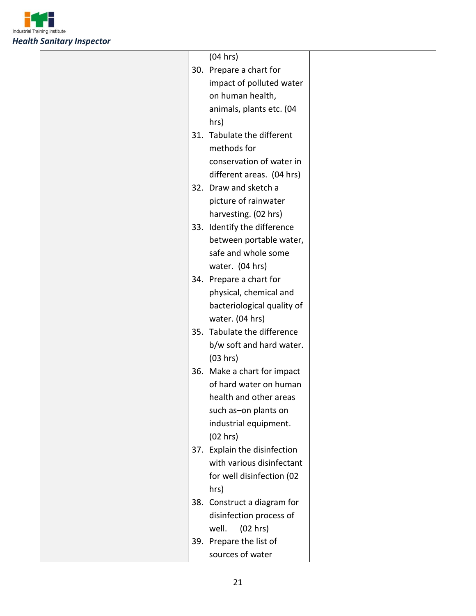

|  | (04 hrs)                     |  |
|--|------------------------------|--|
|  | 30. Prepare a chart for      |  |
|  | impact of polluted water     |  |
|  | on human health,             |  |
|  | animals, plants etc. (04     |  |
|  | hrs)                         |  |
|  | 31. Tabulate the different   |  |
|  | methods for                  |  |
|  | conservation of water in     |  |
|  | different areas. (04 hrs)    |  |
|  | 32. Draw and sketch a        |  |
|  | picture of rainwater         |  |
|  | harvesting. (02 hrs)         |  |
|  | 33. Identify the difference  |  |
|  | between portable water,      |  |
|  | safe and whole some          |  |
|  |                              |  |
|  | water. (04 hrs)              |  |
|  | 34. Prepare a chart for      |  |
|  | physical, chemical and       |  |
|  | bacteriological quality of   |  |
|  | water. (04 hrs)              |  |
|  | 35. Tabulate the difference  |  |
|  | b/w soft and hard water.     |  |
|  | (03 hrs)                     |  |
|  | 36. Make a chart for impact  |  |
|  | of hard water on human       |  |
|  | health and other areas       |  |
|  | such as-on plants on         |  |
|  | industrial equipment.        |  |
|  | (02 hrs)                     |  |
|  | 37. Explain the disinfection |  |
|  | with various disinfectant    |  |
|  | for well disinfection (02    |  |
|  | hrs)                         |  |
|  | 38. Construct a diagram for  |  |
|  | disinfection process of      |  |
|  | well.<br>(02 hrs)            |  |
|  | 39. Prepare the list of      |  |
|  | sources of water             |  |
|  |                              |  |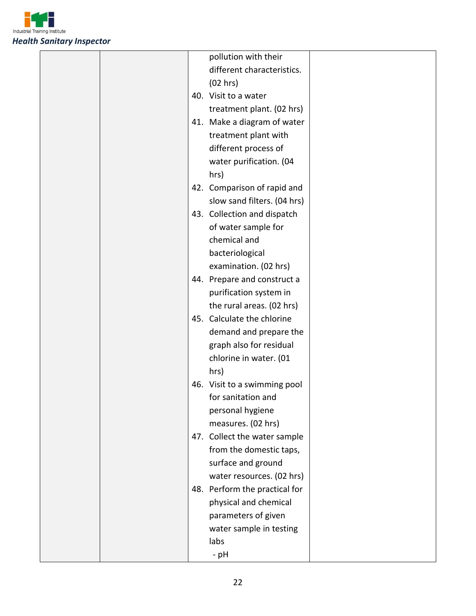

|  | pollution with their          |  |
|--|-------------------------------|--|
|  | different characteristics.    |  |
|  | (02 hrs)                      |  |
|  | 40. Visit to a water          |  |
|  | treatment plant. (02 hrs)     |  |
|  | 41. Make a diagram of water   |  |
|  | treatment plant with          |  |
|  | different process of          |  |
|  | water purification. (04       |  |
|  | hrs)                          |  |
|  | 42. Comparison of rapid and   |  |
|  | slow sand filters. (04 hrs)   |  |
|  | 43. Collection and dispatch   |  |
|  | of water sample for           |  |
|  | chemical and                  |  |
|  | bacteriological               |  |
|  | examination. (02 hrs)         |  |
|  | 44. Prepare and construct a   |  |
|  | purification system in        |  |
|  | the rural areas. (02 hrs)     |  |
|  | 45. Calculate the chlorine    |  |
|  | demand and prepare the        |  |
|  | graph also for residual       |  |
|  | chlorine in water. (01        |  |
|  | hrs)                          |  |
|  | 46. Visit to a swimming pool  |  |
|  | for sanitation and            |  |
|  | personal hygiene              |  |
|  | measures. (02 hrs)            |  |
|  | 47. Collect the water sample  |  |
|  | from the domestic taps,       |  |
|  | surface and ground            |  |
|  | water resources. (02 hrs)     |  |
|  | 48. Perform the practical for |  |
|  | physical and chemical         |  |
|  | parameters of given           |  |
|  | water sample in testing       |  |
|  | labs                          |  |
|  | - pH                          |  |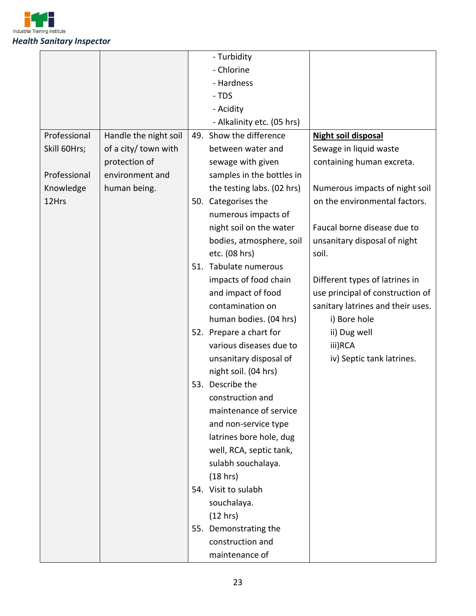

| - Chlorine<br>- Hardness<br>- TDS<br>- Acidity<br>- Alkalinity etc. (05 hrs)<br>49. Show the difference<br>Handle the night soil<br>Professional<br>Night soil disposal<br>of a city/ town with<br>Sewage in liquid waste<br>Skill 60Hrs;<br>between water and<br>protection of<br>containing human excreta.<br>sewage with given<br>Professional<br>environment and<br>samples in the bottles in<br>Knowledge<br>human being.<br>the testing labs. (02 hrs)<br>Numerous impacts of night soil<br>12Hrs<br>on the environmental factors.<br>50. Categorises the<br>numerous impacts of<br>night soil on the water<br>Faucal borne disease due to<br>unsanitary disposal of night<br>bodies, atmosphere, soil<br>etc. (08 hrs)<br>soil.<br>51. Tabulate numerous<br>impacts of food chain<br>Different types of latrines in<br>use principal of construction of<br>and impact of food |
|--------------------------------------------------------------------------------------------------------------------------------------------------------------------------------------------------------------------------------------------------------------------------------------------------------------------------------------------------------------------------------------------------------------------------------------------------------------------------------------------------------------------------------------------------------------------------------------------------------------------------------------------------------------------------------------------------------------------------------------------------------------------------------------------------------------------------------------------------------------------------------------|
|                                                                                                                                                                                                                                                                                                                                                                                                                                                                                                                                                                                                                                                                                                                                                                                                                                                                                      |
|                                                                                                                                                                                                                                                                                                                                                                                                                                                                                                                                                                                                                                                                                                                                                                                                                                                                                      |
|                                                                                                                                                                                                                                                                                                                                                                                                                                                                                                                                                                                                                                                                                                                                                                                                                                                                                      |
|                                                                                                                                                                                                                                                                                                                                                                                                                                                                                                                                                                                                                                                                                                                                                                                                                                                                                      |
|                                                                                                                                                                                                                                                                                                                                                                                                                                                                                                                                                                                                                                                                                                                                                                                                                                                                                      |
|                                                                                                                                                                                                                                                                                                                                                                                                                                                                                                                                                                                                                                                                                                                                                                                                                                                                                      |
|                                                                                                                                                                                                                                                                                                                                                                                                                                                                                                                                                                                                                                                                                                                                                                                                                                                                                      |
|                                                                                                                                                                                                                                                                                                                                                                                                                                                                                                                                                                                                                                                                                                                                                                                                                                                                                      |
|                                                                                                                                                                                                                                                                                                                                                                                                                                                                                                                                                                                                                                                                                                                                                                                                                                                                                      |
|                                                                                                                                                                                                                                                                                                                                                                                                                                                                                                                                                                                                                                                                                                                                                                                                                                                                                      |
|                                                                                                                                                                                                                                                                                                                                                                                                                                                                                                                                                                                                                                                                                                                                                                                                                                                                                      |
|                                                                                                                                                                                                                                                                                                                                                                                                                                                                                                                                                                                                                                                                                                                                                                                                                                                                                      |
|                                                                                                                                                                                                                                                                                                                                                                                                                                                                                                                                                                                                                                                                                                                                                                                                                                                                                      |
|                                                                                                                                                                                                                                                                                                                                                                                                                                                                                                                                                                                                                                                                                                                                                                                                                                                                                      |
|                                                                                                                                                                                                                                                                                                                                                                                                                                                                                                                                                                                                                                                                                                                                                                                                                                                                                      |
|                                                                                                                                                                                                                                                                                                                                                                                                                                                                                                                                                                                                                                                                                                                                                                                                                                                                                      |
|                                                                                                                                                                                                                                                                                                                                                                                                                                                                                                                                                                                                                                                                                                                                                                                                                                                                                      |
|                                                                                                                                                                                                                                                                                                                                                                                                                                                                                                                                                                                                                                                                                                                                                                                                                                                                                      |
| sanitary latrines and their uses.<br>contamination on                                                                                                                                                                                                                                                                                                                                                                                                                                                                                                                                                                                                                                                                                                                                                                                                                                |
| human bodies. (04 hrs)<br>i) Bore hole                                                                                                                                                                                                                                                                                                                                                                                                                                                                                                                                                                                                                                                                                                                                                                                                                                               |
| 52. Prepare a chart for<br>ii) Dug well                                                                                                                                                                                                                                                                                                                                                                                                                                                                                                                                                                                                                                                                                                                                                                                                                                              |
| various diseases due to<br>iii)RCA                                                                                                                                                                                                                                                                                                                                                                                                                                                                                                                                                                                                                                                                                                                                                                                                                                                   |
| unsanitary disposal of<br>iv) Septic tank latrines.                                                                                                                                                                                                                                                                                                                                                                                                                                                                                                                                                                                                                                                                                                                                                                                                                                  |
| night soil. (04 hrs)                                                                                                                                                                                                                                                                                                                                                                                                                                                                                                                                                                                                                                                                                                                                                                                                                                                                 |
| 53. Describe the                                                                                                                                                                                                                                                                                                                                                                                                                                                                                                                                                                                                                                                                                                                                                                                                                                                                     |
| construction and                                                                                                                                                                                                                                                                                                                                                                                                                                                                                                                                                                                                                                                                                                                                                                                                                                                                     |
| maintenance of service                                                                                                                                                                                                                                                                                                                                                                                                                                                                                                                                                                                                                                                                                                                                                                                                                                                               |
| and non-service type                                                                                                                                                                                                                                                                                                                                                                                                                                                                                                                                                                                                                                                                                                                                                                                                                                                                 |
| latrines bore hole, dug                                                                                                                                                                                                                                                                                                                                                                                                                                                                                                                                                                                                                                                                                                                                                                                                                                                              |
| well, RCA, septic tank,                                                                                                                                                                                                                                                                                                                                                                                                                                                                                                                                                                                                                                                                                                                                                                                                                                                              |
| sulabh souchalaya.                                                                                                                                                                                                                                                                                                                                                                                                                                                                                                                                                                                                                                                                                                                                                                                                                                                                   |
| (18 hrs)                                                                                                                                                                                                                                                                                                                                                                                                                                                                                                                                                                                                                                                                                                                                                                                                                                                                             |
| 54. Visit to sulabh                                                                                                                                                                                                                                                                                                                                                                                                                                                                                                                                                                                                                                                                                                                                                                                                                                                                  |
| souchalaya.                                                                                                                                                                                                                                                                                                                                                                                                                                                                                                                                                                                                                                                                                                                                                                                                                                                                          |
| (12 hrs)                                                                                                                                                                                                                                                                                                                                                                                                                                                                                                                                                                                                                                                                                                                                                                                                                                                                             |
| 55. Demonstrating the                                                                                                                                                                                                                                                                                                                                                                                                                                                                                                                                                                                                                                                                                                                                                                                                                                                                |
| construction and                                                                                                                                                                                                                                                                                                                                                                                                                                                                                                                                                                                                                                                                                                                                                                                                                                                                     |
| maintenance of                                                                                                                                                                                                                                                                                                                                                                                                                                                                                                                                                                                                                                                                                                                                                                                                                                                                       |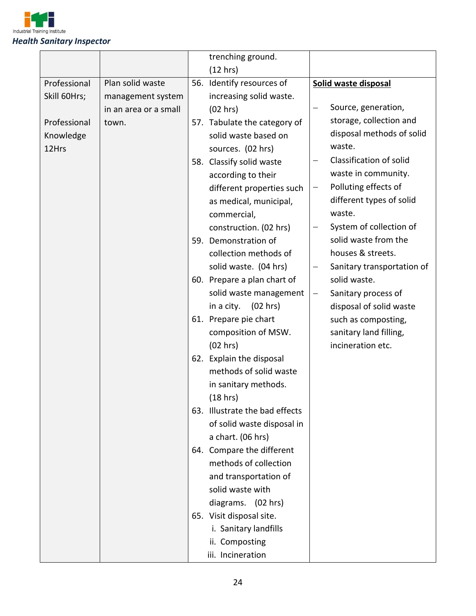

|              |                       | trenching ground.              |                   |                            |
|--------------|-----------------------|--------------------------------|-------------------|----------------------------|
|              |                       | (12 hrs)                       |                   |                            |
| Professional | Plan solid waste      | 56. Identify resources of      |                   | Solid waste disposal       |
| Skill 60Hrs; | management system     | increasing solid waste.        |                   |                            |
|              | in an area or a small | (02 hrs)                       | —                 | Source, generation,        |
| Professional | town.                 | 57. Tabulate the category of   |                   | storage, collection and    |
| Knowledge    |                       | solid waste based on           |                   | disposal methods of solid  |
| 12Hrs        |                       | sources. (02 hrs)              |                   | waste.                     |
|              |                       | 58. Classify solid waste       |                   | Classification of solid    |
|              |                       | according to their             |                   | waste in community.        |
|              |                       | different properties such      | $\qquad \qquad -$ | Polluting effects of       |
|              |                       | as medical, municipal,         |                   | different types of solid   |
|              |                       | commercial,                    |                   | waste.                     |
|              |                       | construction. (02 hrs)         | —                 | System of collection of    |
|              |                       | 59. Demonstration of           |                   | solid waste from the       |
|              |                       | collection methods of          |                   | houses & streets.          |
|              |                       | solid waste. (04 hrs)          | -                 | Sanitary transportation of |
|              |                       | 60. Prepare a plan chart of    |                   | solid waste.               |
|              |                       | solid waste management         | $\qquad \qquad -$ | Sanitary process of        |
|              |                       | in a city. $(02 hrs)$          |                   | disposal of solid waste    |
|              |                       | 61. Prepare pie chart          |                   | such as composting,        |
|              |                       | composition of MSW.            |                   | sanitary land filling,     |
|              |                       | (02 hrs)                       |                   | incineration etc.          |
|              |                       | 62. Explain the disposal       |                   |                            |
|              |                       | methods of solid waste         |                   |                            |
|              |                       | in sanitary methods.           |                   |                            |
|              |                       | (18 hrs)                       |                   |                            |
|              |                       | 63. Illustrate the bad effects |                   |                            |
|              |                       | of solid waste disposal in     |                   |                            |
|              |                       | a chart. (06 hrs)              |                   |                            |
|              |                       | 64. Compare the different      |                   |                            |
|              |                       | methods of collection          |                   |                            |
|              |                       | and transportation of          |                   |                            |
|              |                       | solid waste with               |                   |                            |
|              |                       | diagrams. (02 hrs)             |                   |                            |
|              |                       | 65. Visit disposal site.       |                   |                            |
|              |                       | i. Sanitary landfills          |                   |                            |
|              |                       | ii. Composting                 |                   |                            |
|              |                       | iii. Incineration              |                   |                            |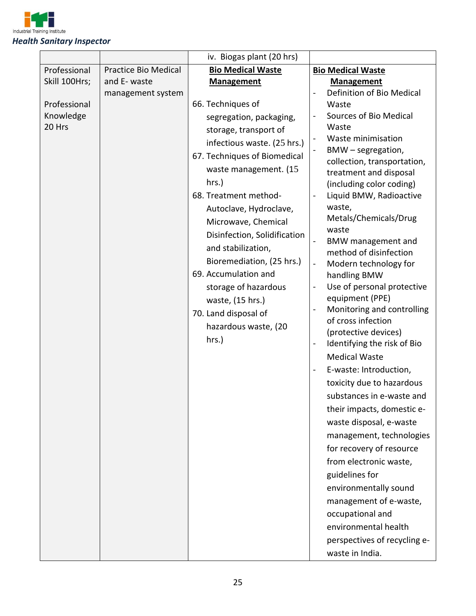

| Professional<br><b>Bio Medical Waste</b><br><b>Bio Medical Waste</b><br><b>Practice Bio Medical</b><br>Skill 100Hrs;<br>and E- waste<br><b>Management</b><br><b>Management</b><br>Definition of Bio Medical<br>management system<br>66. Techniques of<br>Professional<br>Waste<br>Knowledge<br>Sources of Bio Medical<br>segregation, packaging,<br>20 Hrs<br>Waste<br>storage, transport of<br>Waste minimisation<br>infectious waste. (25 hrs.)<br>BMW - segregation,<br>$\blacksquare$<br>67. Techniques of Biomedical<br>collection, transportation,<br>waste management. (15<br>treatment and disposal<br>hrs.)<br>(including color coding)<br>Liquid BMW, Radioactive<br>68. Treatment method-<br>waste,<br>Autoclave, Hydroclave,<br>Metals/Chemicals/Drug<br>Microwave, Chemical<br>waste<br>Disinfection, Solidification<br>BMW management and<br>and stabilization,<br>method of disinfection<br>Bioremediation, (25 hrs.)<br>Modern technology for<br>$\overline{\phantom{0}}$<br>69. Accumulation and<br>handling BMW<br>Use of personal protective<br>storage of hazardous<br>-<br>equipment (PPE)<br>waste, (15 hrs.)<br>Monitoring and controlling<br>$\qquad \qquad -$<br>70. Land disposal of<br>of cross infection<br>hazardous waste, (20<br>(protective devices)<br>hrs.)<br>Identifying the risk of Bio<br>$\overline{\phantom{0}}$<br><b>Medical Waste</b><br>E-waste: Introduction,<br>toxicity due to hazardous<br>substances in e-waste and<br>their impacts, domestic e-<br>waste disposal, e-waste<br>management, technologies<br>for recovery of resource<br>from electronic waste, |
|-----------------------------------------------------------------------------------------------------------------------------------------------------------------------------------------------------------------------------------------------------------------------------------------------------------------------------------------------------------------------------------------------------------------------------------------------------------------------------------------------------------------------------------------------------------------------------------------------------------------------------------------------------------------------------------------------------------------------------------------------------------------------------------------------------------------------------------------------------------------------------------------------------------------------------------------------------------------------------------------------------------------------------------------------------------------------------------------------------------------------------------------------------------------------------------------------------------------------------------------------------------------------------------------------------------------------------------------------------------------------------------------------------------------------------------------------------------------------------------------------------------------------------------------------------------------------------------------------------------------|
|                                                                                                                                                                                                                                                                                                                                                                                                                                                                                                                                                                                                                                                                                                                                                                                                                                                                                                                                                                                                                                                                                                                                                                                                                                                                                                                                                                                                                                                                                                                                                                                                                 |
|                                                                                                                                                                                                                                                                                                                                                                                                                                                                                                                                                                                                                                                                                                                                                                                                                                                                                                                                                                                                                                                                                                                                                                                                                                                                                                                                                                                                                                                                                                                                                                                                                 |
|                                                                                                                                                                                                                                                                                                                                                                                                                                                                                                                                                                                                                                                                                                                                                                                                                                                                                                                                                                                                                                                                                                                                                                                                                                                                                                                                                                                                                                                                                                                                                                                                                 |
|                                                                                                                                                                                                                                                                                                                                                                                                                                                                                                                                                                                                                                                                                                                                                                                                                                                                                                                                                                                                                                                                                                                                                                                                                                                                                                                                                                                                                                                                                                                                                                                                                 |
|                                                                                                                                                                                                                                                                                                                                                                                                                                                                                                                                                                                                                                                                                                                                                                                                                                                                                                                                                                                                                                                                                                                                                                                                                                                                                                                                                                                                                                                                                                                                                                                                                 |
|                                                                                                                                                                                                                                                                                                                                                                                                                                                                                                                                                                                                                                                                                                                                                                                                                                                                                                                                                                                                                                                                                                                                                                                                                                                                                                                                                                                                                                                                                                                                                                                                                 |
|                                                                                                                                                                                                                                                                                                                                                                                                                                                                                                                                                                                                                                                                                                                                                                                                                                                                                                                                                                                                                                                                                                                                                                                                                                                                                                                                                                                                                                                                                                                                                                                                                 |
|                                                                                                                                                                                                                                                                                                                                                                                                                                                                                                                                                                                                                                                                                                                                                                                                                                                                                                                                                                                                                                                                                                                                                                                                                                                                                                                                                                                                                                                                                                                                                                                                                 |
|                                                                                                                                                                                                                                                                                                                                                                                                                                                                                                                                                                                                                                                                                                                                                                                                                                                                                                                                                                                                                                                                                                                                                                                                                                                                                                                                                                                                                                                                                                                                                                                                                 |
|                                                                                                                                                                                                                                                                                                                                                                                                                                                                                                                                                                                                                                                                                                                                                                                                                                                                                                                                                                                                                                                                                                                                                                                                                                                                                                                                                                                                                                                                                                                                                                                                                 |
|                                                                                                                                                                                                                                                                                                                                                                                                                                                                                                                                                                                                                                                                                                                                                                                                                                                                                                                                                                                                                                                                                                                                                                                                                                                                                                                                                                                                                                                                                                                                                                                                                 |
|                                                                                                                                                                                                                                                                                                                                                                                                                                                                                                                                                                                                                                                                                                                                                                                                                                                                                                                                                                                                                                                                                                                                                                                                                                                                                                                                                                                                                                                                                                                                                                                                                 |
|                                                                                                                                                                                                                                                                                                                                                                                                                                                                                                                                                                                                                                                                                                                                                                                                                                                                                                                                                                                                                                                                                                                                                                                                                                                                                                                                                                                                                                                                                                                                                                                                                 |
|                                                                                                                                                                                                                                                                                                                                                                                                                                                                                                                                                                                                                                                                                                                                                                                                                                                                                                                                                                                                                                                                                                                                                                                                                                                                                                                                                                                                                                                                                                                                                                                                                 |
|                                                                                                                                                                                                                                                                                                                                                                                                                                                                                                                                                                                                                                                                                                                                                                                                                                                                                                                                                                                                                                                                                                                                                                                                                                                                                                                                                                                                                                                                                                                                                                                                                 |
|                                                                                                                                                                                                                                                                                                                                                                                                                                                                                                                                                                                                                                                                                                                                                                                                                                                                                                                                                                                                                                                                                                                                                                                                                                                                                                                                                                                                                                                                                                                                                                                                                 |
|                                                                                                                                                                                                                                                                                                                                                                                                                                                                                                                                                                                                                                                                                                                                                                                                                                                                                                                                                                                                                                                                                                                                                                                                                                                                                                                                                                                                                                                                                                                                                                                                                 |
|                                                                                                                                                                                                                                                                                                                                                                                                                                                                                                                                                                                                                                                                                                                                                                                                                                                                                                                                                                                                                                                                                                                                                                                                                                                                                                                                                                                                                                                                                                                                                                                                                 |
|                                                                                                                                                                                                                                                                                                                                                                                                                                                                                                                                                                                                                                                                                                                                                                                                                                                                                                                                                                                                                                                                                                                                                                                                                                                                                                                                                                                                                                                                                                                                                                                                                 |
|                                                                                                                                                                                                                                                                                                                                                                                                                                                                                                                                                                                                                                                                                                                                                                                                                                                                                                                                                                                                                                                                                                                                                                                                                                                                                                                                                                                                                                                                                                                                                                                                                 |
|                                                                                                                                                                                                                                                                                                                                                                                                                                                                                                                                                                                                                                                                                                                                                                                                                                                                                                                                                                                                                                                                                                                                                                                                                                                                                                                                                                                                                                                                                                                                                                                                                 |
|                                                                                                                                                                                                                                                                                                                                                                                                                                                                                                                                                                                                                                                                                                                                                                                                                                                                                                                                                                                                                                                                                                                                                                                                                                                                                                                                                                                                                                                                                                                                                                                                                 |
|                                                                                                                                                                                                                                                                                                                                                                                                                                                                                                                                                                                                                                                                                                                                                                                                                                                                                                                                                                                                                                                                                                                                                                                                                                                                                                                                                                                                                                                                                                                                                                                                                 |
|                                                                                                                                                                                                                                                                                                                                                                                                                                                                                                                                                                                                                                                                                                                                                                                                                                                                                                                                                                                                                                                                                                                                                                                                                                                                                                                                                                                                                                                                                                                                                                                                                 |
|                                                                                                                                                                                                                                                                                                                                                                                                                                                                                                                                                                                                                                                                                                                                                                                                                                                                                                                                                                                                                                                                                                                                                                                                                                                                                                                                                                                                                                                                                                                                                                                                                 |
|                                                                                                                                                                                                                                                                                                                                                                                                                                                                                                                                                                                                                                                                                                                                                                                                                                                                                                                                                                                                                                                                                                                                                                                                                                                                                                                                                                                                                                                                                                                                                                                                                 |
|                                                                                                                                                                                                                                                                                                                                                                                                                                                                                                                                                                                                                                                                                                                                                                                                                                                                                                                                                                                                                                                                                                                                                                                                                                                                                                                                                                                                                                                                                                                                                                                                                 |
|                                                                                                                                                                                                                                                                                                                                                                                                                                                                                                                                                                                                                                                                                                                                                                                                                                                                                                                                                                                                                                                                                                                                                                                                                                                                                                                                                                                                                                                                                                                                                                                                                 |
|                                                                                                                                                                                                                                                                                                                                                                                                                                                                                                                                                                                                                                                                                                                                                                                                                                                                                                                                                                                                                                                                                                                                                                                                                                                                                                                                                                                                                                                                                                                                                                                                                 |
|                                                                                                                                                                                                                                                                                                                                                                                                                                                                                                                                                                                                                                                                                                                                                                                                                                                                                                                                                                                                                                                                                                                                                                                                                                                                                                                                                                                                                                                                                                                                                                                                                 |
|                                                                                                                                                                                                                                                                                                                                                                                                                                                                                                                                                                                                                                                                                                                                                                                                                                                                                                                                                                                                                                                                                                                                                                                                                                                                                                                                                                                                                                                                                                                                                                                                                 |
|                                                                                                                                                                                                                                                                                                                                                                                                                                                                                                                                                                                                                                                                                                                                                                                                                                                                                                                                                                                                                                                                                                                                                                                                                                                                                                                                                                                                                                                                                                                                                                                                                 |
| guidelines for                                                                                                                                                                                                                                                                                                                                                                                                                                                                                                                                                                                                                                                                                                                                                                                                                                                                                                                                                                                                                                                                                                                                                                                                                                                                                                                                                                                                                                                                                                                                                                                                  |
| environmentally sound                                                                                                                                                                                                                                                                                                                                                                                                                                                                                                                                                                                                                                                                                                                                                                                                                                                                                                                                                                                                                                                                                                                                                                                                                                                                                                                                                                                                                                                                                                                                                                                           |
| management of e-waste,                                                                                                                                                                                                                                                                                                                                                                                                                                                                                                                                                                                                                                                                                                                                                                                                                                                                                                                                                                                                                                                                                                                                                                                                                                                                                                                                                                                                                                                                                                                                                                                          |
| occupational and                                                                                                                                                                                                                                                                                                                                                                                                                                                                                                                                                                                                                                                                                                                                                                                                                                                                                                                                                                                                                                                                                                                                                                                                                                                                                                                                                                                                                                                                                                                                                                                                |
| environmental health                                                                                                                                                                                                                                                                                                                                                                                                                                                                                                                                                                                                                                                                                                                                                                                                                                                                                                                                                                                                                                                                                                                                                                                                                                                                                                                                                                                                                                                                                                                                                                                            |
| perspectives of recycling e-                                                                                                                                                                                                                                                                                                                                                                                                                                                                                                                                                                                                                                                                                                                                                                                                                                                                                                                                                                                                                                                                                                                                                                                                                                                                                                                                                                                                                                                                                                                                                                                    |
|                                                                                                                                                                                                                                                                                                                                                                                                                                                                                                                                                                                                                                                                                                                                                                                                                                                                                                                                                                                                                                                                                                                                                                                                                                                                                                                                                                                                                                                                                                                                                                                                                 |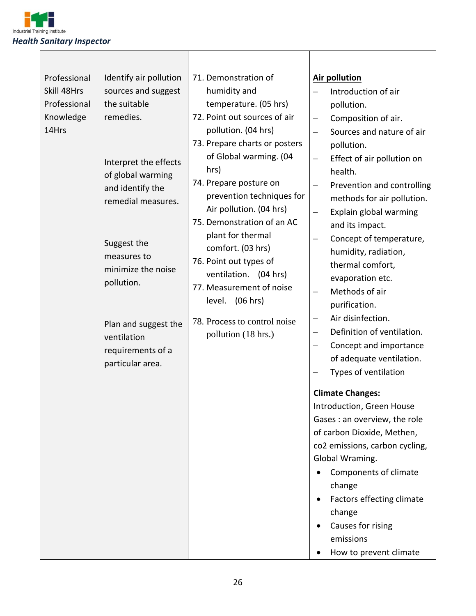

 $\mathsf{r}$ 

| Professional<br>Skill 48Hrs<br>Professional<br>Knowledge<br>14Hrs | Identify air pollution<br>sources and suggest<br>the suitable<br>remedies.<br>Interpret the effects<br>of global warming<br>and identify the<br>remedial measures.<br>Suggest the<br>measures to<br>minimize the noise<br>pollution.<br>Plan and suggest the<br>ventilation<br>requirements of a<br>particular area. | 71. Demonstration of<br>humidity and<br>temperature. (05 hrs)<br>72. Point out sources of air<br>pollution. (04 hrs)<br>73. Prepare charts or posters<br>of Global warming. (04<br>hrs)<br>74. Prepare posture on<br>prevention techniques for<br>Air pollution. (04 hrs)<br>75. Demonstration of an AC<br>plant for thermal<br>comfort. (03 hrs)<br>76. Point out types of<br>ventilation. (04 hrs)<br>77. Measurement of noise<br>level. (06 hrs)<br>78. Process to control noise<br>pollution (18 hrs.) | <b>Air pollution</b><br>Introduction of air<br>$\equiv$<br>pollution.<br>Composition of air.<br>$\overline{\phantom{0}}$<br>Sources and nature of air<br>$\equiv$<br>pollution.<br>Effect of air pollution on<br>$\overline{\phantom{0}}$<br>health.<br>Prevention and controlling<br>-<br>methods for air pollution.<br>Explain global warming<br>$\overline{\phantom{0}}$<br>and its impact.<br>Concept of temperature,<br>$\overline{\phantom{0}}$<br>humidity, radiation,<br>thermal comfort,<br>evaporation etc.<br>Methods of air<br>purification.<br>Air disinfection.<br>—<br>Definition of ventilation.<br>—<br>Concept and importance<br>—<br>of adequate ventilation.<br>Types of ventilation<br><b>Climate Changes:</b><br>Introduction, Green House<br>Gases : an overview, the role<br>of carbon Dioxide, Methen,<br>co2 emissions, carbon cycling,<br>Global Wraming.<br>Components of climate<br>change<br>Factors effecting climate<br>change<br>Causes for rising<br>emissions<br>How to prevent climate |
|-------------------------------------------------------------------|----------------------------------------------------------------------------------------------------------------------------------------------------------------------------------------------------------------------------------------------------------------------------------------------------------------------|------------------------------------------------------------------------------------------------------------------------------------------------------------------------------------------------------------------------------------------------------------------------------------------------------------------------------------------------------------------------------------------------------------------------------------------------------------------------------------------------------------|----------------------------------------------------------------------------------------------------------------------------------------------------------------------------------------------------------------------------------------------------------------------------------------------------------------------------------------------------------------------------------------------------------------------------------------------------------------------------------------------------------------------------------------------------------------------------------------------------------------------------------------------------------------------------------------------------------------------------------------------------------------------------------------------------------------------------------------------------------------------------------------------------------------------------------------------------------------------------------------------------------------------------|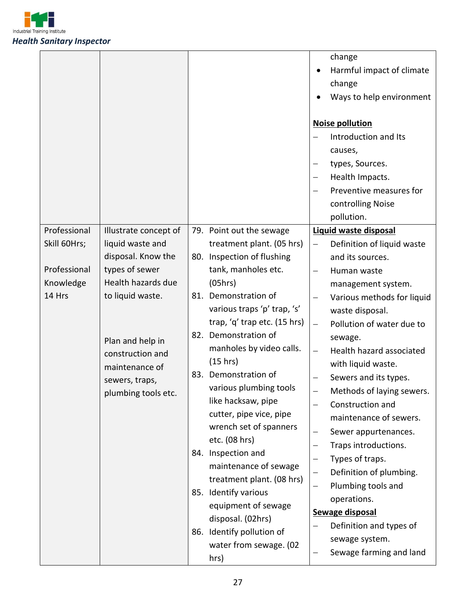

|                                                                     |                                                                                                                                                                                                                                |                                                                                                                                                                                                                                                                                                                                                                                                                                                                                                                                                                                                                                           | change<br>Harmful impact of climate<br>change<br>Ways to help environment<br><b>Noise pollution</b><br>Introduction and Its<br>causes,<br>types, Sources.<br>—<br>Health Impacts.<br>Preventive measures for<br>controlling Noise<br>pollution.                                                                                                                                                                                                                                                                                                                                                                                                                                                                                             |
|---------------------------------------------------------------------|--------------------------------------------------------------------------------------------------------------------------------------------------------------------------------------------------------------------------------|-------------------------------------------------------------------------------------------------------------------------------------------------------------------------------------------------------------------------------------------------------------------------------------------------------------------------------------------------------------------------------------------------------------------------------------------------------------------------------------------------------------------------------------------------------------------------------------------------------------------------------------------|---------------------------------------------------------------------------------------------------------------------------------------------------------------------------------------------------------------------------------------------------------------------------------------------------------------------------------------------------------------------------------------------------------------------------------------------------------------------------------------------------------------------------------------------------------------------------------------------------------------------------------------------------------------------------------------------------------------------------------------------|
| Professional<br>Skill 60Hrs;<br>Professional<br>Knowledge<br>14 Hrs | Illustrate concept of<br>liquid waste and<br>disposal. Know the<br>types of sewer<br>Health hazards due<br>to liquid waste.<br>Plan and help in<br>construction and<br>maintenance of<br>sewers, traps,<br>plumbing tools etc. | 79. Point out the sewage<br>treatment plant. (05 hrs)<br>80. Inspection of flushing<br>tank, manholes etc.<br>(05hrs)<br>81. Demonstration of<br>various traps 'p' trap, 's'<br>trap, 'q' trap etc. (15 hrs)<br>82. Demonstration of<br>manholes by video calls.<br>(15 hrs)<br>83. Demonstration of<br>various plumbing tools<br>like hacksaw, pipe<br>cutter, pipe vice, pipe<br>wrench set of spanners<br>etc. (08 hrs)<br>84. Inspection and<br>maintenance of sewage<br>treatment plant. (08 hrs)<br>85. Identify various<br>equipment of sewage<br>disposal. (02hrs)<br>86. Identify pollution of<br>water from sewage. (02<br>hrs) | Liquid waste disposal<br>Definition of liquid waste<br>$\qquad \qquad -$<br>and its sources.<br>Human waste<br>management system.<br>Various methods for liquid<br>waste disposal.<br>Pollution of water due to<br>$\overline{\phantom{0}}$<br>sewage.<br>Health hazard associated<br>$\overline{\phantom{0}}$<br>with liquid waste.<br>Sewers and its types.<br>-<br>Methods of laying sewers.<br>$\overline{\phantom{0}}$<br>Construction and<br>maintenance of sewers.<br>Sewer appurtenances.<br>—<br>Traps introductions.<br>Types of traps.<br>-<br>Definition of plumbing.<br>$\qquad \qquad -$<br>Plumbing tools and<br>—<br>operations.<br>Sewage disposal<br>Definition and types of<br>sewage system.<br>Sewage farming and land |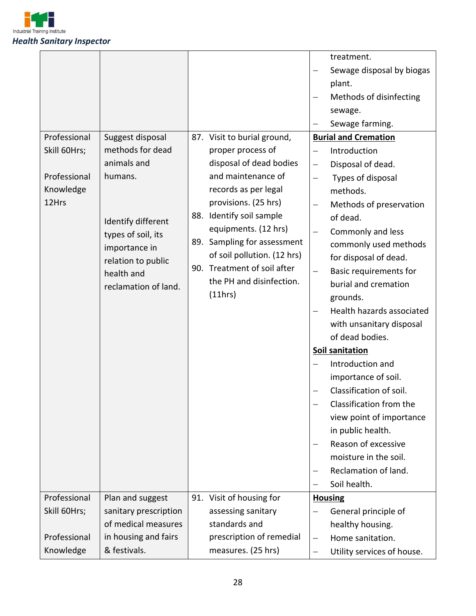

|              |                       |                             |                          | treatment.                    |
|--------------|-----------------------|-----------------------------|--------------------------|-------------------------------|
|              |                       |                             |                          | Sewage disposal by biogas     |
|              |                       |                             |                          | plant.                        |
|              |                       |                             |                          | Methods of disinfecting       |
|              |                       |                             |                          | sewage.                       |
|              |                       |                             |                          | Sewage farming.               |
| Professional | Suggest disposal      | 87. Visit to burial ground, |                          | <b>Burial and Cremation</b>   |
| Skill 60Hrs; | methods for dead      | proper process of           | $\qquad \qquad -$        | Introduction                  |
|              | animals and           | disposal of dead bodies     | $\qquad \qquad -$        | Disposal of dead.             |
| Professional | humans.               | and maintenance of          | $\qquad \qquad -$        | Types of disposal             |
| Knowledge    |                       | records as per legal        |                          | methods.                      |
| 12Hrs        |                       | provisions. (25 hrs)        | $\overline{\phantom{m}}$ | Methods of preservation       |
|              | Identify different    | 88. Identify soil sample    |                          | of dead.                      |
|              | types of soil, its    | equipments. (12 hrs)        |                          | Commonly and less             |
|              | importance in         | 89. Sampling for assessment |                          | commonly used methods         |
|              | relation to public    | of soil pollution. (12 hrs) |                          | for disposal of dead.         |
|              | health and            | 90. Treatment of soil after | $\qquad \qquad -$        | <b>Basic requirements for</b> |
|              | reclamation of land.  | the PH and disinfection.    |                          | burial and cremation          |
|              |                       | (11hrs)                     |                          | grounds.                      |
|              |                       |                             |                          | Health hazards associated     |
|              |                       |                             |                          | with unsanitary disposal      |
|              |                       |                             |                          | of dead bodies.               |
|              |                       |                             |                          | Soil sanitation               |
|              |                       |                             |                          | Introduction and              |
|              |                       |                             |                          | importance of soil.           |
|              |                       |                             |                          | Classification of soil.       |
|              |                       |                             |                          | Classification from the       |
|              |                       |                             |                          | view point of importance      |
|              |                       |                             |                          | in public health.             |
|              |                       |                             |                          | Reason of excessive           |
|              |                       |                             |                          | moisture in the soil.         |
|              |                       |                             | $\qquad \qquad -$        | Reclamation of land.          |
|              |                       |                             | $\overline{\phantom{0}}$ | Soil health.                  |
| Professional | Plan and suggest      | 91. Visit of housing for    |                          | <b>Housing</b>                |
| Skill 60Hrs; | sanitary prescription | assessing sanitary          | $\qquad \qquad -$        | General principle of          |
|              | of medical measures   | standards and               |                          | healthy housing.              |
| Professional | in housing and fairs  | prescription of remedial    | $\overline{\phantom{m}}$ | Home sanitation.              |
| Knowledge    | & festivals.          | measures. (25 hrs)          | $\overline{\phantom{m}}$ | Utility services of house.    |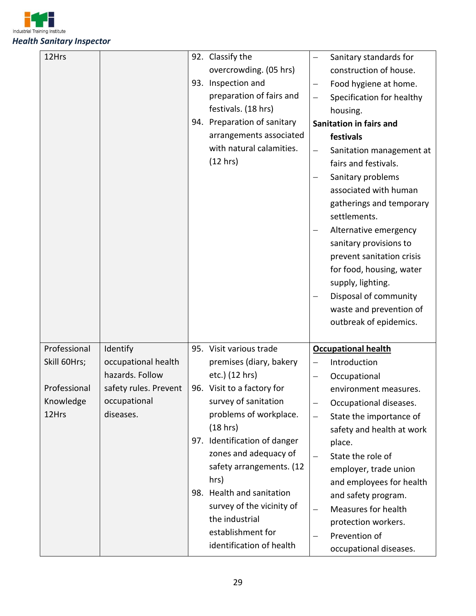

| 12Hrs                                              |                                                                                                          | 93. | 92. Classify the<br>overcrowding. (05 hrs)<br>Inspection and<br>preparation of fairs and<br>festivals. (18 hrs)<br>94. Preparation of sanitary<br>arrangements associated<br>with natural calamities.<br>(12 hrs)                                                                                                                                                                          | -<br>—<br>$\overline{\phantom{0}}$<br>—<br>— | Sanitary standards for<br>construction of house.<br>Food hygiene at home.<br>Specification for healthy<br>housing.<br><b>Sanitation in fairs and</b><br>festivals<br>Sanitation management at<br>fairs and festivals.<br>Sanitary problems<br>associated with human<br>gatherings and temporary<br>settlements.<br>Alternative emergency<br>sanitary provisions to<br>prevent sanitation crisis<br>for food, housing, water<br>supply, lighting.<br>Disposal of community<br>waste and prevention of<br>outbreak of epidemics. |
|----------------------------------------------------|----------------------------------------------------------------------------------------------------------|-----|--------------------------------------------------------------------------------------------------------------------------------------------------------------------------------------------------------------------------------------------------------------------------------------------------------------------------------------------------------------------------------------------|----------------------------------------------|--------------------------------------------------------------------------------------------------------------------------------------------------------------------------------------------------------------------------------------------------------------------------------------------------------------------------------------------------------------------------------------------------------------------------------------------------------------------------------------------------------------------------------|
| Professional                                       |                                                                                                          |     |                                                                                                                                                                                                                                                                                                                                                                                            |                                              |                                                                                                                                                                                                                                                                                                                                                                                                                                                                                                                                |
| Skill 60Hrs;<br>Professional<br>Knowledge<br>12Hrs | Identify<br>occupational health<br>hazards. Follow<br>safety rules. Prevent<br>occupational<br>diseases. |     | 95. Visit various trade<br>premises (diary, bakery<br>etc.) (12 hrs)<br>96. Visit to a factory for<br>survey of sanitation<br>problems of workplace.<br>(18 hrs)<br>97. Identification of danger<br>zones and adequacy of<br>safety arrangements. (12<br>hrs)<br>98. Health and sanitation<br>survey of the vicinity of<br>the industrial<br>establishment for<br>identification of health | —<br>—<br>—<br>—                             | <b>Occupational health</b><br>Introduction<br>Occupational<br>environment measures.<br>Occupational diseases.<br>State the importance of<br>safety and health at work<br>place.<br>State the role of<br>employer, trade union<br>and employees for health<br>and safety program.<br>Measures for health<br>protection workers.<br>Prevention of<br>occupational diseases.                                                                                                                                                      |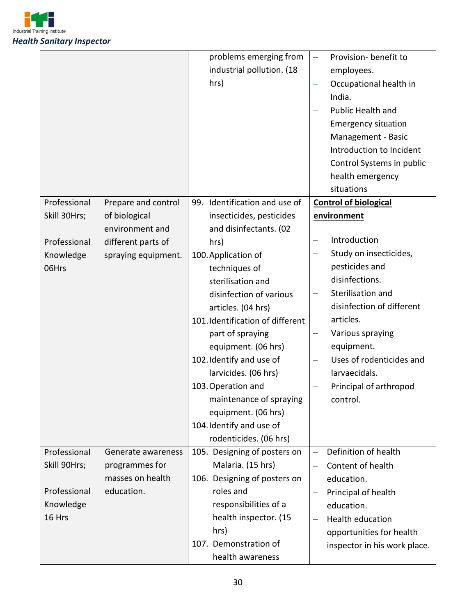

|              |                     | problems emerging from           | Provision- benefit to<br>$\qquad \qquad -$       |
|--------------|---------------------|----------------------------------|--------------------------------------------------|
|              |                     | industrial pollution. (18        | employees.                                       |
|              |                     | hrs)                             | Occupational health in                           |
|              |                     |                                  | India.                                           |
|              |                     |                                  | <b>Public Health and</b>                         |
|              |                     |                                  | <b>Emergency situation</b>                       |
|              |                     |                                  | Management - Basic                               |
|              |                     |                                  | Introduction to Incident                         |
|              |                     |                                  | Control Systems in public                        |
|              |                     |                                  | health emergency                                 |
|              |                     |                                  | situations                                       |
| Professional | Prepare and control | 99. Identification and use of    | <b>Control of biological</b>                     |
| Skill 30Hrs; | of biological       | insecticides, pesticides         | environment                                      |
|              | environment and     | and disinfectants. (02           |                                                  |
| Professional | different parts of  | hrs)                             | Introduction<br>$\qquad \qquad -$                |
| Knowledge    | spraying equipment. | 100. Application of              | Study on insecticides,                           |
| 06Hrs        |                     | techniques of                    | pesticides and                                   |
|              |                     | sterilisation and                | disinfections.                                   |
|              |                     | disinfection of various          | Sterilisation and<br>$\qquad \qquad -$           |
|              |                     | articles. (04 hrs)               | disinfection of different                        |
|              |                     | 101. Identification of different | articles.                                        |
|              |                     | part of spraying                 | Various spraying                                 |
|              |                     | equipment. (06 hrs)              | equipment.                                       |
|              |                     | 102. Identify and use of         | Uses of rodenticides and<br>$\qquad \qquad -$    |
|              |                     | larvicides. (06 hrs)             | larvaecidals.                                    |
|              |                     | 103. Operation and               | Principal of arthropod                           |
|              |                     | maintenance of spraying          | control.                                         |
|              |                     | equipment. (06 hrs)              |                                                  |
|              |                     | 104. Identify and use of         |                                                  |
|              |                     | rodenticides. (06 hrs)           |                                                  |
| Professional | Generate awareness  | 105. Designing of posters on     | Definition of health<br>$\overline{\phantom{0}}$ |
| Skill 90Hrs; | programmes for      | Malaria. (15 hrs)                | Content of health<br>$\overline{\phantom{m}}$    |
|              | masses on health    | 106. Designing of posters on     | education.                                       |
| Professional | education.          | roles and                        | Principal of health<br>$\overline{\phantom{0}}$  |
| Knowledge    |                     | responsibilities of a            | education.                                       |
| 16 Hrs       |                     | health inspector. (15            | <b>Health education</b>                          |
|              |                     | hrs)                             | opportunities for health                         |
|              |                     | 107. Demonstration of            | inspector in his work place.                     |
|              |                     | health awareness                 |                                                  |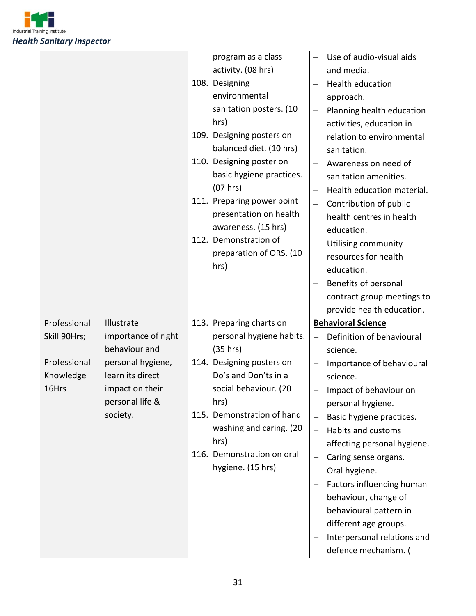

|                                                                    |                                                                                                                                               | program as a class<br>activity. (08 hrs)<br>108. Designing<br>environmental<br>sanitation posters. (10<br>hrs)<br>109. Designing posters on<br>balanced diet. (10 hrs)<br>110. Designing poster on<br>basic hygiene practices.<br>(07 hrs)<br>111. Preparing power point<br>presentation on health<br>awareness. (15 hrs)<br>112. Demonstration of<br>preparation of ORS. (10<br>hrs) | —                                                                     | Use of audio-visual aids<br>and media.<br>Health education<br>approach.<br>Planning health education<br>activities, education in<br>relation to environmental<br>sanitation.<br>Awareness on need of<br>sanitation amenities.<br>Health education material.<br>Contribution of public<br>health centres in health<br>education.<br>Utilising community<br>resources for health<br>education.<br>Benefits of personal<br>contract group meetings to<br>provide health education. |
|--------------------------------------------------------------------|-----------------------------------------------------------------------------------------------------------------------------------------------|---------------------------------------------------------------------------------------------------------------------------------------------------------------------------------------------------------------------------------------------------------------------------------------------------------------------------------------------------------------------------------------|-----------------------------------------------------------------------|---------------------------------------------------------------------------------------------------------------------------------------------------------------------------------------------------------------------------------------------------------------------------------------------------------------------------------------------------------------------------------------------------------------------------------------------------------------------------------|
|                                                                    |                                                                                                                                               |                                                                                                                                                                                                                                                                                                                                                                                       |                                                                       |                                                                                                                                                                                                                                                                                                                                                                                                                                                                                 |
| Professional<br>Skill 90Hrs;<br>Professional<br>Knowledge<br>16Hrs | Illustrate<br>importance of right<br>behaviour and<br>personal hygiene,<br>learn its direct<br>impact on their<br>personal life &<br>society. | 113. Preparing charts on<br>personal hygiene habits.<br>(35 hrs)<br>114. Designing posters on<br>Do's and Don'ts in a<br>social behaviour. (20<br>hrs)<br>115. Demonstration of hand<br>washing and caring. (20<br>hrs)<br>116. Demonstration on oral<br>hygiene. (15 hrs)                                                                                                            | $\qquad \qquad -$<br>$\qquad \qquad -$<br>$\qquad \qquad -$<br>—<br>- | <b>Behavioral Science</b><br>Definition of behavioural<br>science.<br>Importance of behavioural<br>science.<br>Impact of behaviour on<br>personal hygiene.<br>Basic hygiene practices.<br>Habits and customs<br>affecting personal hygiene.<br>Caring sense organs.<br>Oral hygiene.<br>Factors influencing human<br>behaviour, change of<br>behavioural pattern in<br>different age groups.<br>Interpersonal relations and<br>defence mechanism. (                             |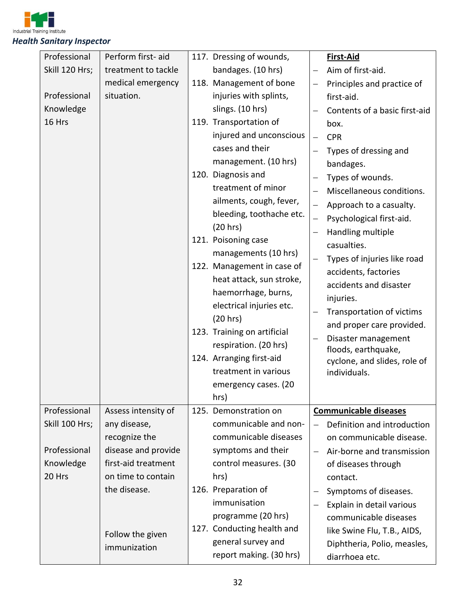

| Professional   | Perform first-aid                | 117. Dressing of wounds,    |                   | First-Aid                                  |
|----------------|----------------------------------|-----------------------------|-------------------|--------------------------------------------|
| Skill 120 Hrs; | treatment to tackle              | bandages. (10 hrs)          |                   | Aim of first-aid.                          |
|                | medical emergency                | 118. Management of bone     | —                 | Principles and practice of                 |
| Professional   | situation.                       | injuries with splints,      |                   | first-aid.                                 |
| Knowledge      |                                  | slings. (10 hrs)            |                   | Contents of a basic first-aid              |
| 16 Hrs         |                                  | 119. Transportation of      |                   | box.                                       |
|                |                                  | injured and unconscious     | $\equiv$          | <b>CPR</b>                                 |
|                |                                  | cases and their             |                   | Types of dressing and                      |
|                |                                  | management. (10 hrs)        |                   | bandages.                                  |
|                |                                  | 120. Diagnosis and          |                   | Types of wounds.                           |
|                |                                  | treatment of minor          |                   | Miscellaneous conditions.                  |
|                |                                  | ailments, cough, fever,     |                   | Approach to a casualty.                    |
|                |                                  | bleeding, toothache etc.    | —                 | Psychological first-aid.                   |
|                |                                  | (20 hrs)                    |                   | Handling multiple                          |
|                |                                  | 121. Poisoning case         |                   | casualties.                                |
|                |                                  | managements (10 hrs)        |                   | Types of injuries like road                |
|                |                                  | 122. Management in case of  |                   |                                            |
|                |                                  | heat attack, sun stroke,    |                   | accidents, factories                       |
|                |                                  | haemorrhage, burns,         |                   | accidents and disaster                     |
|                |                                  | electrical injuries etc.    |                   | injuries.                                  |
|                |                                  | (20 hrs)                    | —                 | Transportation of victims                  |
|                |                                  | 123. Training on artificial |                   | and proper care provided.                  |
|                |                                  | respiration. (20 hrs)       |                   | Disaster management<br>floods, earthquake, |
|                |                                  | 124. Arranging first-aid    |                   | cyclone, and slides, role of               |
|                |                                  | treatment in various        |                   | individuals.                               |
|                |                                  | emergency cases. (20        |                   |                                            |
|                |                                  | hrs)                        |                   |                                            |
| Professional   | Assess intensity of              | 125. Demonstration on       |                   | <b>Communicable diseases</b>               |
| Skill 100 Hrs; | any disease,                     | communicable and non-       |                   | Definition and introduction                |
|                | recognize the                    | communicable diseases       |                   | on communicable disease.                   |
| Professional   | disease and provide              | symptoms and their          |                   | Air-borne and transmission                 |
| Knowledge      | first-aid treatment              | control measures. (30       |                   | of diseases through                        |
| 20 Hrs         | on time to contain               | hrs)                        |                   | contact.                                   |
|                | the disease.                     | 126. Preparation of         |                   | Symptoms of diseases.                      |
|                |                                  | immunisation                | $\qquad \qquad -$ | Explain in detail various                  |
|                |                                  | programme (20 hrs)          |                   | communicable diseases                      |
|                |                                  | 127. Conducting health and  |                   | like Swine Flu, T.B., AIDS,                |
|                | Follow the given<br>immunization | general survey and          |                   | Diphtheria, Polio, measles,                |
|                |                                  | report making. (30 hrs)     |                   | diarrhoea etc.                             |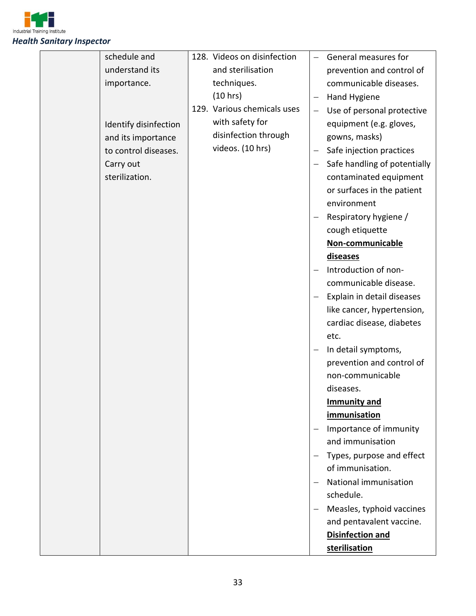

| schedule and          | 128. Videos on disinfection |                          | General measures for         |
|-----------------------|-----------------------------|--------------------------|------------------------------|
| understand its        | and sterilisation           |                          | prevention and control of    |
| importance.           | techniques.                 |                          | communicable diseases.       |
|                       | (10 hrs)                    | $\overline{\phantom{m}}$ | Hand Hygiene                 |
|                       | 129. Various chemicals uses | $\overline{\phantom{m}}$ | Use of personal protective   |
| Identify disinfection | with safety for             |                          | equipment (e.g. gloves,      |
| and its importance    | disinfection through        |                          | gowns, masks)                |
| to control diseases.  | videos. (10 hrs)            |                          | Safe injection practices     |
| Carry out             |                             | $\overline{\phantom{m}}$ | Safe handling of potentially |
| sterilization.        |                             |                          | contaminated equipment       |
|                       |                             |                          | or surfaces in the patient   |
|                       |                             |                          | environment                  |
|                       |                             |                          | Respiratory hygiene /        |
|                       |                             |                          | cough etiquette              |
|                       |                             |                          | Non-communicable             |
|                       |                             |                          | diseases                     |
|                       |                             |                          | Introduction of non-         |
|                       |                             |                          | communicable disease.        |
|                       |                             |                          | Explain in detail diseases   |
|                       |                             |                          | like cancer, hypertension,   |
|                       |                             |                          | cardiac disease, diabetes    |
|                       |                             |                          | etc.                         |
|                       |                             |                          | In detail symptoms,          |
|                       |                             |                          | prevention and control of    |
|                       |                             |                          | non-communicable             |
|                       |                             |                          | diseases.                    |
|                       |                             |                          | <b>Immunity and</b>          |
|                       |                             |                          | immunisation                 |
|                       |                             |                          | Importance of immunity       |
|                       |                             |                          | and immunisation             |
|                       |                             |                          | Types, purpose and effect    |
|                       |                             |                          | of immunisation.             |
|                       |                             |                          | National immunisation        |
|                       |                             |                          | schedule.                    |
|                       |                             |                          | Measles, typhoid vaccines    |
|                       |                             |                          | and pentavalent vaccine.     |
|                       |                             |                          | <b>Disinfection and</b>      |
|                       |                             |                          | sterilisation                |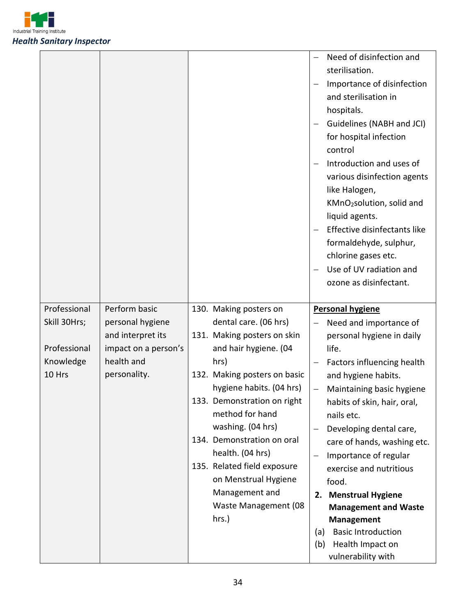

|                                                           |                                                                                              |                                                                                                                                                                                                                                                                                             | Need of disinfection and<br>sterilisation.<br>Importance of disinfection<br>and sterilisation in<br>hospitals.<br>Guidelines (NABH and JCI)<br>for hospital infection<br>control<br>Introduction and uses of<br>various disinfection agents<br>like Halogen,<br>KMnO2solution, solid and<br>liquid agents.<br>Effective disinfectants like<br>formaldehyde, sulphur,<br>chlorine gases etc.<br>Use of UV radiation and<br>ozone as disinfectant. |
|-----------------------------------------------------------|----------------------------------------------------------------------------------------------|---------------------------------------------------------------------------------------------------------------------------------------------------------------------------------------------------------------------------------------------------------------------------------------------|--------------------------------------------------------------------------------------------------------------------------------------------------------------------------------------------------------------------------------------------------------------------------------------------------------------------------------------------------------------------------------------------------------------------------------------------------|
| Professional<br>Skill 30Hrs;<br>Professional<br>Knowledge | Perform basic<br>personal hygiene<br>and interpret its<br>impact on a person's<br>health and | 130. Making posters on<br>dental care. (06 hrs)<br>131. Making posters on skin<br>and hair hygiene. (04<br>hrs)                                                                                                                                                                             | Personal hygiene<br>Need and importance of<br>personal hygiene in daily<br>life.<br>Factors influencing health                                                                                                                                                                                                                                                                                                                                   |
| 10 Hrs                                                    | personality.                                                                                 | 132. Making posters on basic<br>hygiene habits. (04 hrs)<br>133. Demonstration on right<br>method for hand<br>washing. (04 hrs)<br>134. Demonstration on oral<br>health. (04 hrs)<br>135. Related field exposure<br>on Menstrual Hygiene<br>Management and<br>Waste Management (08<br>hrs.) | and hygiene habits.<br>Maintaining basic hygiene<br>habits of skin, hair, oral,<br>nails etc.<br>Developing dental care,<br>care of hands, washing etc.<br>Importance of regular<br>$\overline{\phantom{m}}$<br>exercise and nutritious<br>food.<br><b>Menstrual Hygiene</b><br>2.<br><b>Management and Waste</b><br>Management<br><b>Basic Introduction</b><br>(a)<br>Health Impact on<br>(b)<br>vulnerability with                             |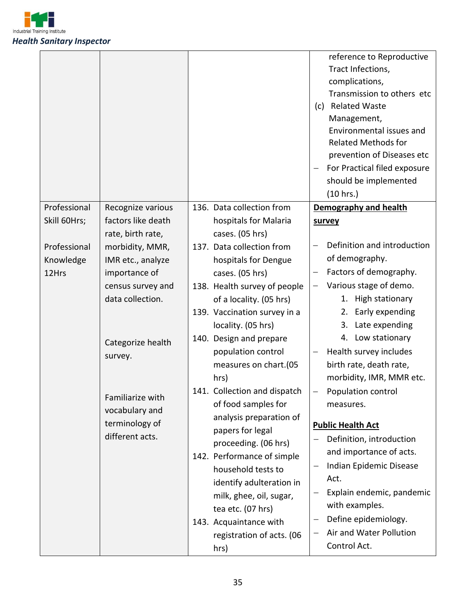

|              |                    |                                             | reference to Reproductive<br>Tract Infections,<br>complications,<br>Transmission to others etc<br>(c) Related Waste<br>Management,<br>Environmental issues and<br><b>Related Methods for</b><br>prevention of Diseases etc |
|--------------|--------------------|---------------------------------------------|----------------------------------------------------------------------------------------------------------------------------------------------------------------------------------------------------------------------------|
|              |                    |                                             | For Practical filed exposure                                                                                                                                                                                               |
|              |                    |                                             | should be implemented                                                                                                                                                                                                      |
| Professional | Recognize various  | 136. Data collection from                   | (10 hrs.)<br>Demography and health                                                                                                                                                                                         |
| Skill 60Hrs; | factors like death | hospitals for Malaria                       | survey                                                                                                                                                                                                                     |
|              | rate, birth rate,  | cases. (05 hrs)                             |                                                                                                                                                                                                                            |
| Professional | morbidity, MMR,    | 137. Data collection from                   | Definition and introduction                                                                                                                                                                                                |
| Knowledge    | IMR etc., analyze  | hospitals for Dengue                        | of demography.                                                                                                                                                                                                             |
| 12Hrs        | importance of      | cases. (05 hrs)                             | Factors of demography.                                                                                                                                                                                                     |
|              | census survey and  | 138. Health survey of people                | Various stage of demo.                                                                                                                                                                                                     |
|              | data collection.   | of a locality. (05 hrs)                     | 1. High stationary                                                                                                                                                                                                         |
|              |                    | 139. Vaccination survey in a                | Early expending<br>2.                                                                                                                                                                                                      |
|              |                    | locality. (05 hrs)                          | 3. Late expending                                                                                                                                                                                                          |
|              | Categorize health  | 140. Design and prepare                     | 4. Low stationary                                                                                                                                                                                                          |
|              | survey.            | population control                          | Health survey includes                                                                                                                                                                                                     |
|              |                    | measures on chart.(05                       | birth rate, death rate,                                                                                                                                                                                                    |
|              |                    | hrs)                                        | morbidity, IMR, MMR etc.                                                                                                                                                                                                   |
|              | Familiarize with   | 141. Collection and dispatch                | Population control<br>—                                                                                                                                                                                                    |
|              | vocabulary and     | of food samples for                         | measures.                                                                                                                                                                                                                  |
|              | terminology of     | analysis preparation of                     | <b>Public Health Act</b>                                                                                                                                                                                                   |
|              | different acts.    | papers for legal                            | Definition, introduction                                                                                                                                                                                                   |
|              |                    | proceeding. (06 hrs)                        | and importance of acts.                                                                                                                                                                                                    |
|              |                    | 142. Performance of simple                  | Indian Epidemic Disease                                                                                                                                                                                                    |
|              |                    | household tests to                          | Act.                                                                                                                                                                                                                       |
|              |                    | identify adulteration in                    | Explain endemic, pandemic                                                                                                                                                                                                  |
|              |                    | milk, ghee, oil, sugar,                     | with examples.                                                                                                                                                                                                             |
|              |                    | tea etc. (07 hrs)<br>143. Acquaintance with | Define epidemiology.<br>-                                                                                                                                                                                                  |
|              |                    | registration of acts. (06                   | Air and Water Pollution                                                                                                                                                                                                    |
|              |                    | hrs)                                        | Control Act.                                                                                                                                                                                                               |
|              |                    |                                             |                                                                                                                                                                                                                            |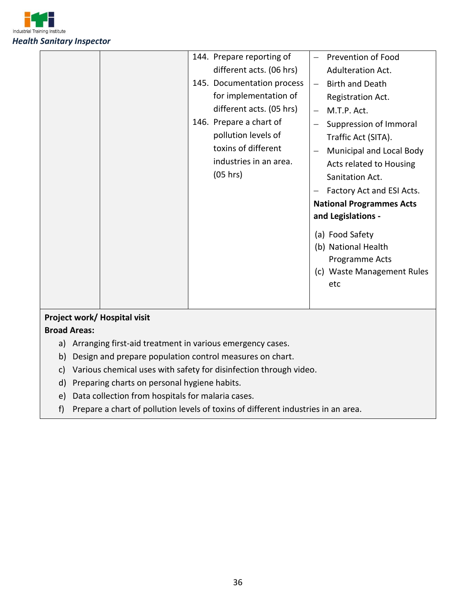

|                             | 144. Prepare reporting of<br>different acts. (06 hrs)<br>145. Documentation process<br>for implementation of<br>different acts. (05 hrs)<br>146. Prepare a chart of<br>pollution levels of<br>toxins of different<br>industries in an area.<br>(05 hrs) | <b>Prevention of Food</b><br><b>Adulteration Act.</b><br><b>Birth and Death</b><br>Registration Act.<br>M.T.P. Act.<br>Suppression of Immoral<br>Traffic Act (SITA).<br>Municipal and Local Body<br>Acts related to Housing<br>Sanitation Act.<br>Factory Act and ESI Acts.<br><b>National Programmes Acts</b><br>and Legislations -<br>(a) Food Safety<br>(b) National Health<br>Programme Acts |
|-----------------------------|---------------------------------------------------------------------------------------------------------------------------------------------------------------------------------------------------------------------------------------------------------|--------------------------------------------------------------------------------------------------------------------------------------------------------------------------------------------------------------------------------------------------------------------------------------------------------------------------------------------------------------------------------------------------|
|                             |                                                                                                                                                                                                                                                         | (c) Waste Management Rules<br>etc                                                                                                                                                                                                                                                                                                                                                                |
| Project work/Hospital visit |                                                                                                                                                                                                                                                         |                                                                                                                                                                                                                                                                                                                                                                                                  |

#### **Broad Areas:**

- a) Arranging first-aid treatment in various emergency cases.
- b) Design and prepare population control measures on chart.
- c) Various chemical uses with safety for disinfection through video.
- d) Preparing charts on personal hygiene habits.
- e) Data collection from hospitals for malaria cases.
- f) Prepare a chart of pollution levels of toxins of different industries in an area.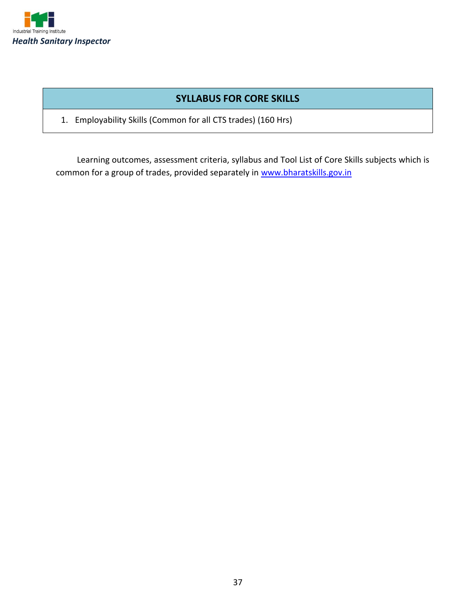

# **SYLLABUS FOR CORE SKILLS**

1. Employability Skills (Common for all CTS trades) (160 Hrs)

Learning outcomes, assessment criteria, syllabus and Tool List of Core Skills subjects which is common for a group of trades, provided separately in [www.bharatskills.gov.in](http://www.bharatskills.gov.in/)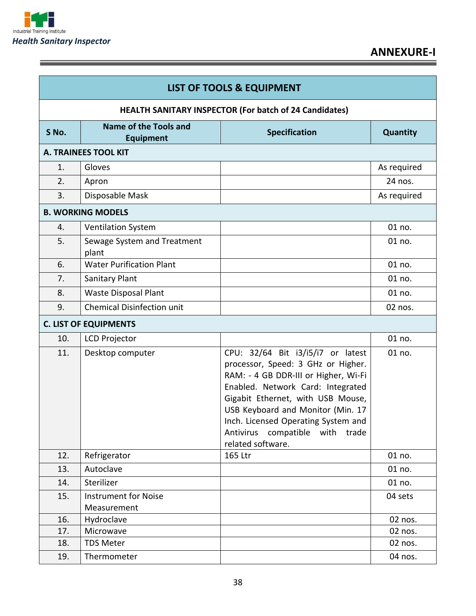

Ξ

|       | <b>LIST OF TOOLS &amp; EQUIPMENT</b>                          |                                                                                                                                                                                                                                                                                                                               |             |  |  |  |
|-------|---------------------------------------------------------------|-------------------------------------------------------------------------------------------------------------------------------------------------------------------------------------------------------------------------------------------------------------------------------------------------------------------------------|-------------|--|--|--|
|       | <b>HEALTH SANITARY INSPECTOR (For batch of 24 Candidates)</b> |                                                                                                                                                                                                                                                                                                                               |             |  |  |  |
| S No. | <b>Name of the Tools and</b><br><b>Equipment</b>              | <b>Specification</b>                                                                                                                                                                                                                                                                                                          | Quantity    |  |  |  |
|       | A. TRAINEES TOOL KIT                                          |                                                                                                                                                                                                                                                                                                                               |             |  |  |  |
| 1.    | Gloves                                                        |                                                                                                                                                                                                                                                                                                                               | As required |  |  |  |
| 2.    | Apron                                                         |                                                                                                                                                                                                                                                                                                                               | 24 nos.     |  |  |  |
| 3.    | Disposable Mask                                               |                                                                                                                                                                                                                                                                                                                               | As required |  |  |  |
|       | <b>B. WORKING MODELS</b>                                      |                                                                                                                                                                                                                                                                                                                               |             |  |  |  |
| 4.    | <b>Ventilation System</b>                                     |                                                                                                                                                                                                                                                                                                                               | 01 no.      |  |  |  |
| 5.    | Sewage System and Treatment<br>plant                          |                                                                                                                                                                                                                                                                                                                               | 01 no.      |  |  |  |
| 6.    | <b>Water Purification Plant</b>                               |                                                                                                                                                                                                                                                                                                                               | 01 no.      |  |  |  |
| 7.    | Sanitary Plant                                                |                                                                                                                                                                                                                                                                                                                               | 01 no.      |  |  |  |
| 8.    | Waste Disposal Plant                                          |                                                                                                                                                                                                                                                                                                                               | 01 no.      |  |  |  |
| 9.    | <b>Chemical Disinfection unit</b>                             |                                                                                                                                                                                                                                                                                                                               | 02 nos.     |  |  |  |
|       | <b>C. LIST OF EQUIPMENTS</b>                                  |                                                                                                                                                                                                                                                                                                                               |             |  |  |  |
| 10.   | <b>LCD Projector</b>                                          |                                                                                                                                                                                                                                                                                                                               | 01 no.      |  |  |  |
| 11.   | Desktop computer                                              | CPU: 32/64 Bit i3/i5/i7 or latest<br>processor, Speed: 3 GHz or Higher.<br>RAM: - 4 GB DDR-III or Higher, Wi-Fi<br>Enabled. Network Card: Integrated<br>Gigabit Ethernet, with USB Mouse,<br>USB Keyboard and Monitor (Min. 17<br>Inch. Licensed Operating System and<br>Antivirus compatible with trade<br>related software. | 01 no.      |  |  |  |
| 12.   | Refrigerator                                                  | 165 Ltr                                                                                                                                                                                                                                                                                                                       | 01 no.      |  |  |  |
| 13.   | Autoclave                                                     |                                                                                                                                                                                                                                                                                                                               | 01 no.      |  |  |  |
| 14.   | Sterilizer                                                    |                                                                                                                                                                                                                                                                                                                               | 01 no.      |  |  |  |
| 15.   | <b>Instrument for Noise</b><br>Measurement                    |                                                                                                                                                                                                                                                                                                                               | 04 sets     |  |  |  |
| 16.   | Hydroclave                                                    |                                                                                                                                                                                                                                                                                                                               | 02 nos.     |  |  |  |
| 17.   | Microwave                                                     |                                                                                                                                                                                                                                                                                                                               | 02 nos.     |  |  |  |
| 18.   | <b>TDS Meter</b>                                              |                                                                                                                                                                                                                                                                                                                               | 02 nos.     |  |  |  |
| 19.   | Thermometer                                                   |                                                                                                                                                                                                                                                                                                                               | 04 nos.     |  |  |  |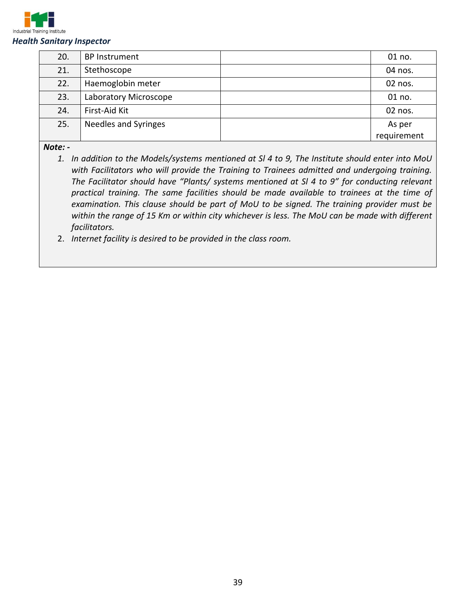

| 20. | <b>BP</b> Instrument  | 01 no.      |
|-----|-----------------------|-------------|
| 21. | Stethoscope           | 04 nos.     |
| 22. | Haemoglobin meter     | 02 nos.     |
| 23. | Laboratory Microscope | 01 no.      |
| 24. | First-Aid Kit         | 02 nos.     |
| 25. | Needles and Syringes  | As per      |
|     |                       | requirement |

*Note: -*

*1. In addition to the Models/systems mentioned at Sl 4 to 9, The Institute should enter into MoU with Facilitators who will provide the Training to Trainees admitted and undergoing training. The Facilitator should have "Plants/ systems mentioned at Sl 4 to 9" for conducting relevant practical training. The same facilities should be made available to trainees at the time of examination. This clause should be part of MoU to be signed. The training provider must be within the range of 15 Km or within city whichever is less. The MoU can be made with different facilitators.*

2. *Internet facility is desired to be provided in the class room.*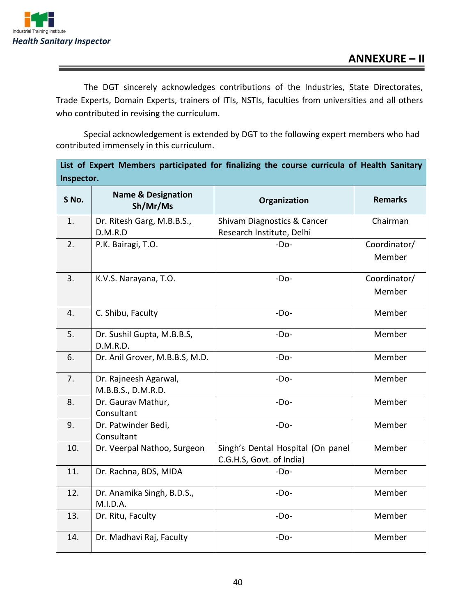

The DGT sincerely acknowledges contributions of the Industries, State Directorates, Trade Experts, Domain Experts, trainers of ITIs, NSTIs, faculties from universities and all others who contributed in revising the curriculum.

Special acknowledgement is extended by DGT to the following expert members who had contributed immensely in this curriculum.

| List of Expert Members participated for finalizing the course curricula of Health Sanitary<br>Inspector. |                                             |                                                               |                        |  |  |
|----------------------------------------------------------------------------------------------------------|---------------------------------------------|---------------------------------------------------------------|------------------------|--|--|
| S No.                                                                                                    | <b>Name &amp; Designation</b><br>Sh/Mr/Ms   | Organization                                                  | <b>Remarks</b>         |  |  |
| 1.                                                                                                       | Dr. Ritesh Garg, M.B.B.S.,<br>D.M.R.D       | Shivam Diagnostics & Cancer<br>Research Institute, Delhi      | Chairman               |  |  |
| 2.                                                                                                       | P.K. Bairagi, T.O.                          | $-Do-$                                                        | Coordinator/<br>Member |  |  |
| 3.                                                                                                       | K.V.S. Narayana, T.O.                       | $-Do-$                                                        | Coordinator/<br>Member |  |  |
| 4.                                                                                                       | C. Shibu, Faculty                           | $-Do-$                                                        | Member                 |  |  |
| 5.                                                                                                       | Dr. Sushil Gupta, M.B.B.S,<br>D.M.R.D.      | $-Do-$                                                        | Member                 |  |  |
| 6.                                                                                                       | Dr. Anil Grover, M.B.B.S, M.D.              | $-DO-$                                                        | Member                 |  |  |
| 7.                                                                                                       | Dr. Rajneesh Agarwal,<br>M.B.B.S., D.M.R.D. | $-Do-$                                                        | Member                 |  |  |
| 8.                                                                                                       | Dr. Gaurav Mathur,<br>Consultant            | $-Do-$                                                        | Member                 |  |  |
| 9.                                                                                                       | Dr. Patwinder Bedi,<br>Consultant           | $-Do-$                                                        | Member                 |  |  |
| 10.                                                                                                      | Dr. Veerpal Nathoo, Surgeon                 | Singh's Dental Hospital (On panel<br>C.G.H.S, Govt. of India) | Member                 |  |  |
| 11.                                                                                                      | Dr. Rachna, BDS, MIDA                       | $-Do-$                                                        | Member                 |  |  |
| 12.                                                                                                      | Dr. Anamika Singh, B.D.S.,<br>M.I.D.A.      | $-Do-$                                                        | Member                 |  |  |
| 13.                                                                                                      | Dr. Ritu, Faculty                           | $-Do-$                                                        | Member                 |  |  |
| 14.                                                                                                      | Dr. Madhavi Raj, Faculty                    | $-Do-$                                                        | Member                 |  |  |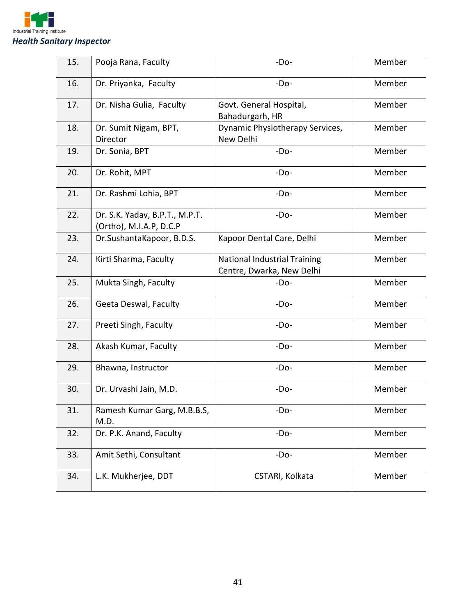

| 15. | Pooja Rana, Faculty                                       | $-Do-$                                                           | Member |
|-----|-----------------------------------------------------------|------------------------------------------------------------------|--------|
| 16. | Dr. Priyanka, Faculty                                     | $-Do-$                                                           | Member |
| 17. | Dr. Nisha Gulia, Faculty                                  | Govt. General Hospital,<br>Bahadurgarh, HR                       | Member |
| 18. | Dr. Sumit Nigam, BPT,<br>Director                         | Dynamic Physiotherapy Services,<br>New Delhi                     | Member |
| 19. | Dr. Sonia, BPT                                            | $-Do-$                                                           | Member |
| 20. | Dr. Rohit, MPT                                            | $-Do-$                                                           | Member |
| 21. | Dr. Rashmi Lohia, BPT                                     | $-Do-$                                                           | Member |
| 22. | Dr. S.K. Yadav, B.P.T., M.P.T.<br>(Ortho), M.I.A.P, D.C.P | $-Do-$                                                           | Member |
| 23. | Dr.SushantaKapoor, B.D.S.                                 | Kapoor Dental Care, Delhi                                        | Member |
| 24. | Kirti Sharma, Faculty                                     | <b>National Industrial Training</b><br>Centre, Dwarka, New Delhi | Member |
| 25. | Mukta Singh, Faculty                                      | $-Do-$                                                           | Member |
| 26. | Geeta Deswal, Faculty                                     | $-Do-$                                                           | Member |
| 27. | Preeti Singh, Faculty                                     | $-Do-$                                                           | Member |
| 28. | Akash Kumar, Faculty                                      | $-Do-$                                                           | Member |
| 29. | Bhawna, Instructor                                        | $-Do-$                                                           | Member |
| 30. | Dr. Urvashi Jain, M.D.                                    | $-Do-$                                                           | Member |
| 31. | Ramesh Kumar Garg, M.B.B.S,<br>M.D.                       | $-Do-$                                                           | Member |
| 32. | Dr. P.K. Anand, Faculty                                   | $-Do-$                                                           | Member |
| 33. | Amit Sethi, Consultant                                    | $-Do-$                                                           | Member |
| 34. | L.K. Mukherjee, DDT                                       | CSTARI, Kolkata                                                  | Member |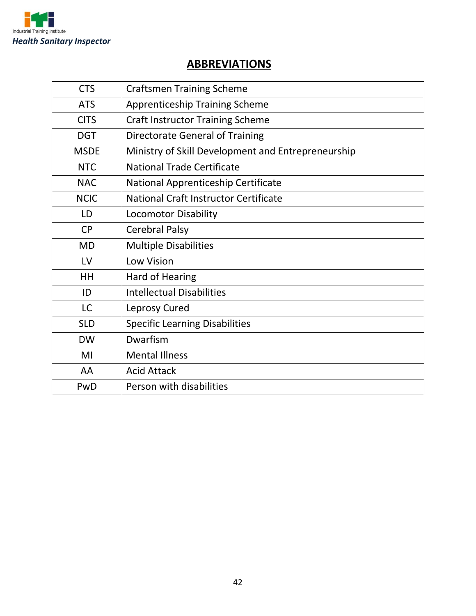

# **ABBREVIATIONS**

| <b>CTS</b>  | <b>Craftsmen Training Scheme</b>                   |
|-------------|----------------------------------------------------|
| <b>ATS</b>  | <b>Apprenticeship Training Scheme</b>              |
| <b>CITS</b> | <b>Craft Instructor Training Scheme</b>            |
| <b>DGT</b>  | <b>Directorate General of Training</b>             |
| <b>MSDE</b> | Ministry of Skill Development and Entrepreneurship |
| <b>NTC</b>  | <b>National Trade Certificate</b>                  |
| <b>NAC</b>  | National Apprenticeship Certificate                |
| <b>NCIC</b> | National Craft Instructor Certificate              |
| LD          | <b>Locomotor Disability</b>                        |
| <b>CP</b>   | <b>Cerebral Palsy</b>                              |
| <b>MD</b>   | <b>Multiple Disabilities</b>                       |
| LV          | <b>Low Vision</b>                                  |
| HH          | <b>Hard of Hearing</b>                             |
| ID          | <b>Intellectual Disabilities</b>                   |
| <b>LC</b>   | Leprosy Cured                                      |
| <b>SLD</b>  | <b>Specific Learning Disabilities</b>              |
| <b>DW</b>   | Dwarfism                                           |
| MI          | <b>Mental Illness</b>                              |
| AA          | <b>Acid Attack</b>                                 |
| PwD         | Person with disabilities                           |